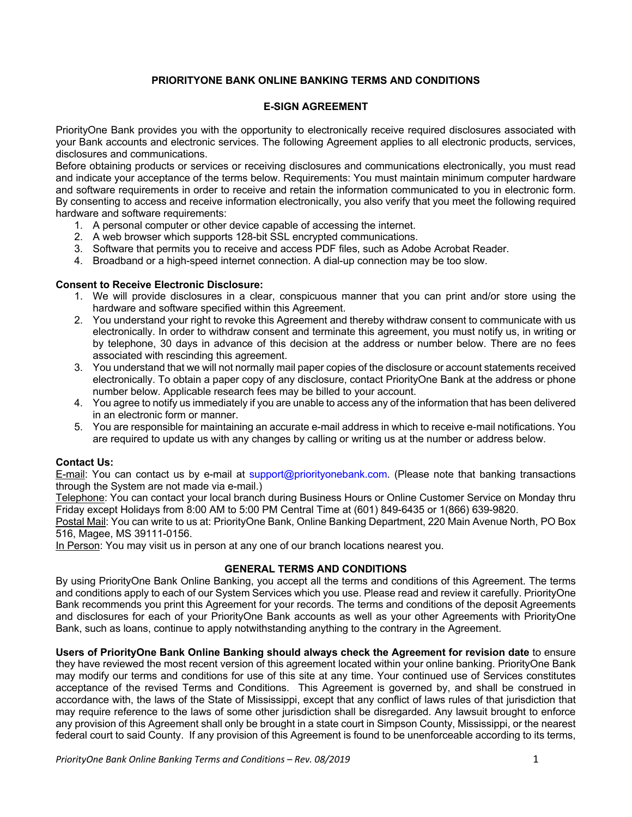# **PRIORITYONE BANK ONLINE BANKING TERMS AND CONDITIONS**

### **E-SIGN AGREEMENT**

PriorityOne Bank provides you with the opportunity to electronically receive required disclosures associated with your Bank accounts and electronic services. The following Agreement applies to all electronic products, services, disclosures and communications.

Before obtaining products or services or receiving disclosures and communications electronically, you must read and indicate your acceptance of the terms below. Requirements: You must maintain minimum computer hardware and software requirements in order to receive and retain the information communicated to you in electronic form. By consenting to access and receive information electronically, you also verify that you meet the following required hardware and software requirements:

- 1. A personal computer or other device capable of accessing the internet.
- 2. A web browser which supports 128-bit SSL encrypted communications.
- 3. Software that permits you to receive and access PDF files, such as Adobe Acrobat Reader.
- 4. Broadband or a high-speed internet connection. A dial-up connection may be too slow.

#### **Consent to Receive Electronic Disclosure:**

- 1. We will provide disclosures in a clear, conspicuous manner that you can print and/or store using the hardware and software specified within this Agreement.
- 2. You understand your right to revoke this Agreement and thereby withdraw consent to communicate with us electronically. In order to withdraw consent and terminate this agreement, you must notify us, in writing or by telephone, 30 days in advance of this decision at the address or number below. There are no fees associated with rescinding this agreement.
- 3. You understand that we will not normally mail paper copies of the disclosure or account statements received electronically. To obtain a paper copy of any disclosure, contact PriorityOne Bank at the address or phone number below. Applicable research fees may be billed to your account.
- 4. You agree to notify us immediately if you are unable to access any of the information that has been delivered in an electronic form or manner.
- 5. You are responsible for maintaining an accurate e-mail address in which to receive e-mail notifications. You are required to update us with any changes by calling or writing us at the number or address below.

#### **Contact Us:**

E-mail: You can contact us by e-mail at support@priorityonebank.com. (Please note that banking transactions through the System are not made via e-mail.)

Telephone: You can contact your local branch during Business Hours or Online Customer Service on Monday thru Friday except Holidays from 8:00 AM to 5:00 PM Central Time at (601) 849-6435 or 1(866) 639-9820.

Postal Mail: You can write to us at: PriorityOne Bank, Online Banking Department, 220 Main Avenue North, PO Box 516, Magee, MS 39111-0156.

In Person: You may visit us in person at any one of our branch locations nearest you.

#### **GENERAL TERMS AND CONDITIONS**

By using PriorityOne Bank Online Banking, you accept all the terms and conditions of this Agreement. The terms and conditions apply to each of our System Services which you use. Please read and review it carefully. PriorityOne Bank recommends you print this Agreement for your records. The terms and conditions of the deposit Agreements and disclosures for each of your PriorityOne Bank accounts as well as your other Agreements with PriorityOne Bank, such as loans, continue to apply notwithstanding anything to the contrary in the Agreement.

**Users of PriorityOne Bank Online Banking should always check the Agreement for revision date** to ensure

they have reviewed the most recent version of this agreement located within your online banking. PriorityOne Bank may modify our terms and conditions for use of this site at any time. Your continued use of Services constitutes acceptance of the revised Terms and Conditions. This Agreement is governed by, and shall be construed in accordance with, the laws of the State of Mississippi, except that any conflict of laws rules of that jurisdiction that may require reference to the laws of some other jurisdiction shall be disregarded. Any lawsuit brought to enforce any provision of this Agreement shall only be brought in a state court in Simpson County, Mississippi, or the nearest federal court to said County. If any provision of this Agreement is found to be unenforceable according to its terms,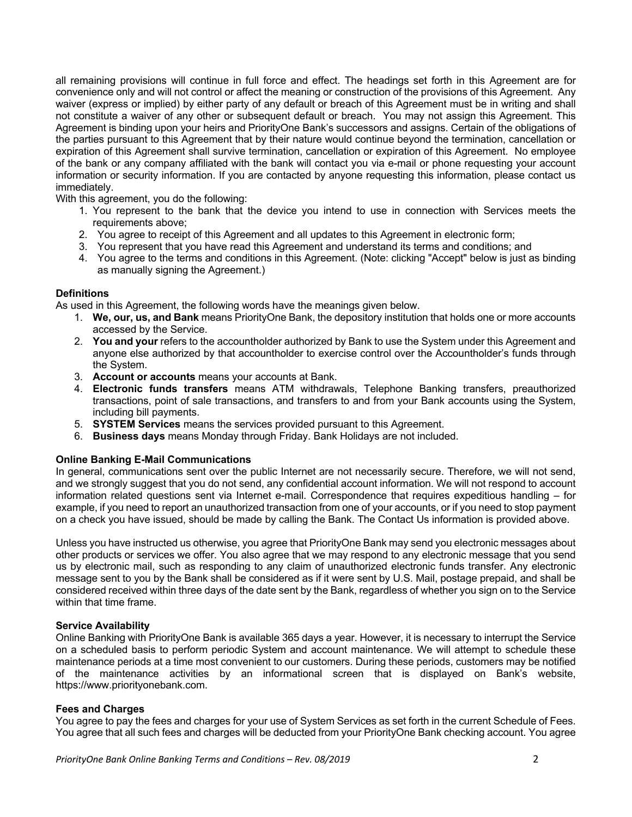all remaining provisions will continue in full force and effect. The headings set forth in this Agreement are for convenience only and will not control or affect the meaning or construction of the provisions of this Agreement. Any waiver (express or implied) by either party of any default or breach of this Agreement must be in writing and shall not constitute a waiver of any other or subsequent default or breach. You may not assign this Agreement. This Agreement is binding upon your heirs and PriorityOne Bank's successors and assigns. Certain of the obligations of the parties pursuant to this Agreement that by their nature would continue beyond the termination, cancellation or expiration of this Agreement shall survive termination, cancellation or expiration of this Agreement. No employee of the bank or any company affiliated with the bank will contact you via e-mail or phone requesting your account information or security information. If you are contacted by anyone requesting this information, please contact us immediately.

With this agreement, you do the following:

- 1. You represent to the bank that the device you intend to use in connection with Services meets the requirements above;
- 2. You agree to receipt of this Agreement and all updates to this Agreement in electronic form;
- 3. You represent that you have read this Agreement and understand its terms and conditions; and
- 4. You agree to the terms and conditions in this Agreement. (Note: clicking "Accept" below is just as binding as manually signing the Agreement.)

### **Definitions**

As used in this Agreement, the following words have the meanings given below.

- 1. **We, our, us, and Bank** means PriorityOne Bank, the depository institution that holds one or more accounts accessed by the Service.
- 2. **You and your** refers to the accountholder authorized by Bank to use the System under this Agreement and anyone else authorized by that accountholder to exercise control over the Accountholder's funds through the System.
- 3. **Account or accounts** means your accounts at Bank.
- 4. **Electronic funds transfers** means ATM withdrawals, Telephone Banking transfers, preauthorized transactions, point of sale transactions, and transfers to and from your Bank accounts using the System, including bill payments.
- 5. **SYSTEM Services** means the services provided pursuant to this Agreement.
- 6. **Business days** means Monday through Friday. Bank Holidays are not included.

# **Online Banking E-Mail Communications**

In general, communications sent over the public Internet are not necessarily secure. Therefore, we will not send, and we strongly suggest that you do not send, any confidential account information. We will not respond to account information related questions sent via Internet e-mail. Correspondence that requires expeditious handling – for example, if you need to report an unauthorized transaction from one of your accounts, or if you need to stop payment on a check you have issued, should be made by calling the Bank. The Contact Us information is provided above.

Unless you have instructed us otherwise, you agree that PriorityOne Bank may send you electronic messages about other products or services we offer. You also agree that we may respond to any electronic message that you send us by electronic mail, such as responding to any claim of unauthorized electronic funds transfer. Any electronic message sent to you by the Bank shall be considered as if it were sent by U.S. Mail, postage prepaid, and shall be considered received within three days of the date sent by the Bank, regardless of whether you sign on to the Service within that time frame.

#### **Service Availability**

Online Banking with PriorityOne Bank is available 365 days a year. However, it is necessary to interrupt the Service on a scheduled basis to perform periodic System and account maintenance. We will attempt to schedule these maintenance periods at a time most convenient to our customers. During these periods, customers may be notified of the maintenance activities by an informational screen that is displayed on Bank's website, https://www.priorityonebank.com.

# **Fees and Charges**

You agree to pay the fees and charges for your use of System Services as set forth in the current Schedule of Fees. You agree that all such fees and charges will be deducted from your PriorityOne Bank checking account. You agree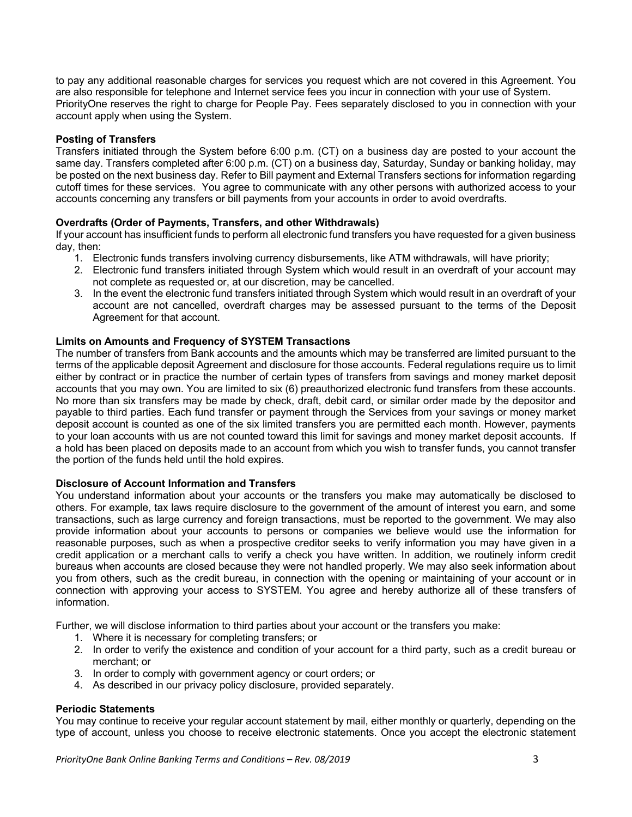to pay any additional reasonable charges for services you request which are not covered in this Agreement. You are also responsible for telephone and Internet service fees you incur in connection with your use of System. PriorityOne reserves the right to charge for People Pay. Fees separately disclosed to you in connection with your account apply when using the System.

### **Posting of Transfers**

Transfers initiated through the System before 6:00 p.m. (CT) on a business day are posted to your account the same day. Transfers completed after 6:00 p.m. (CT) on a business day, Saturday, Sunday or banking holiday, may be posted on the next business day. Refer to Bill payment and External Transfers sections for information regarding cutoff times for these services. You agree to communicate with any other persons with authorized access to your accounts concerning any transfers or bill payments from your accounts in order to avoid overdrafts.

### **Overdrafts (Order of Payments, Transfers, and other Withdrawals)**

If your account has insufficient funds to perform all electronic fund transfers you have requested for a given business day, then:

- 1. Electronic funds transfers involving currency disbursements, like ATM withdrawals, will have priority;
- 2. Electronic fund transfers initiated through System which would result in an overdraft of your account may not complete as requested or, at our discretion, may be cancelled.
- 3. In the event the electronic fund transfers initiated through System which would result in an overdraft of your account are not cancelled, overdraft charges may be assessed pursuant to the terms of the Deposit Agreement for that account.

### **Limits on Amounts and Frequency of SYSTEM Transactions**

The number of transfers from Bank accounts and the amounts which may be transferred are limited pursuant to the terms of the applicable deposit Agreement and disclosure for those accounts. Federal regulations require us to limit either by contract or in practice the number of certain types of transfers from savings and money market deposit accounts that you may own. You are limited to six (6) preauthorized electronic fund transfers from these accounts. No more than six transfers may be made by check, draft, debit card, or similar order made by the depositor and payable to third parties. Each fund transfer or payment through the Services from your savings or money market deposit account is counted as one of the six limited transfers you are permitted each month. However, payments to your loan accounts with us are not counted toward this limit for savings and money market deposit accounts. If a hold has been placed on deposits made to an account from which you wish to transfer funds, you cannot transfer the portion of the funds held until the hold expires.

#### **Disclosure of Account Information and Transfers**

You understand information about your accounts or the transfers you make may automatically be disclosed to others. For example, tax laws require disclosure to the government of the amount of interest you earn, and some transactions, such as large currency and foreign transactions, must be reported to the government. We may also provide information about your accounts to persons or companies we believe would use the information for reasonable purposes, such as when a prospective creditor seeks to verify information you may have given in a credit application or a merchant calls to verify a check you have written. In addition, we routinely inform credit bureaus when accounts are closed because they were not handled properly. We may also seek information about you from others, such as the credit bureau, in connection with the opening or maintaining of your account or in connection with approving your access to SYSTEM. You agree and hereby authorize all of these transfers of information.

Further, we will disclose information to third parties about your account or the transfers you make:

- 1. Where it is necessary for completing transfers; or
- 2. In order to verify the existence and condition of your account for a third party, such as a credit bureau or merchant; or
- 3. In order to comply with government agency or court orders; or
- 4. As described in our privacy policy disclosure, provided separately.

#### **Periodic Statements**

You may continue to receive your regular account statement by mail, either monthly or quarterly, depending on the type of account, unless you choose to receive electronic statements. Once you accept the electronic statement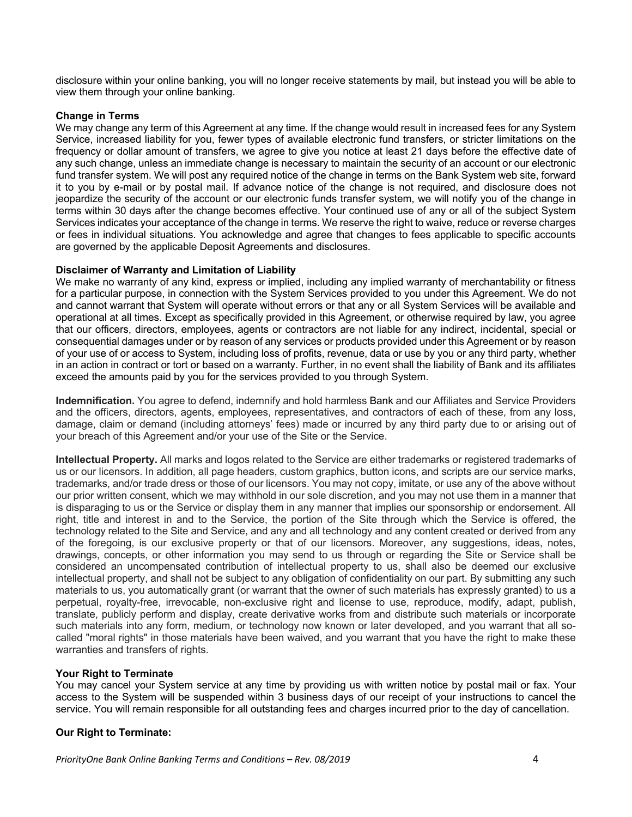disclosure within your online banking, you will no longer receive statements by mail, but instead you will be able to view them through your online banking.

### **Change in Terms**

We may change any term of this Agreement at any time. If the change would result in increased fees for any System Service, increased liability for you, fewer types of available electronic fund transfers, or stricter limitations on the frequency or dollar amount of transfers, we agree to give you notice at least 21 days before the effective date of any such change, unless an immediate change is necessary to maintain the security of an account or our electronic fund transfer system. We will post any required notice of the change in terms on the Bank System web site, forward it to you by e-mail or by postal mail. If advance notice of the change is not required, and disclosure does not jeopardize the security of the account or our electronic funds transfer system, we will notify you of the change in terms within 30 days after the change becomes effective. Your continued use of any or all of the subject System Services indicates your acceptance of the change in terms. We reserve the right to waive, reduce or reverse charges or fees in individual situations. You acknowledge and agree that changes to fees applicable to specific accounts are governed by the applicable Deposit Agreements and disclosures.

#### **Disclaimer of Warranty and Limitation of Liability**

We make no warranty of any kind, express or implied, including any implied warranty of merchantability or fitness for a particular purpose, in connection with the System Services provided to you under this Agreement. We do not and cannot warrant that System will operate without errors or that any or all System Services will be available and operational at all times. Except as specifically provided in this Agreement, or otherwise required by law, you agree that our officers, directors, employees, agents or contractors are not liable for any indirect, incidental, special or consequential damages under or by reason of any services or products provided under this Agreement or by reason of your use of or access to System, including loss of profits, revenue, data or use by you or any third party, whether in an action in contract or tort or based on a warranty. Further, in no event shall the liability of Bank and its affiliates exceed the amounts paid by you for the services provided to you through System.

**Indemnification.** You agree to defend, indemnify and hold harmless Bank and our Affiliates and Service Providers and the officers, directors, agents, employees, representatives, and contractors of each of these, from any loss, damage, claim or demand (including attorneys' fees) made or incurred by any third party due to or arising out of your breach of this Agreement and/or your use of the Site or the Service.

**Intellectual Property.** All marks and logos related to the Service are either trademarks or registered trademarks of us or our licensors. In addition, all page headers, custom graphics, button icons, and scripts are our service marks, trademarks, and/or trade dress or those of our licensors. You may not copy, imitate, or use any of the above without our prior written consent, which we may withhold in our sole discretion, and you may not use them in a manner that is disparaging to us or the Service or display them in any manner that implies our sponsorship or endorsement. All right, title and interest in and to the Service, the portion of the Site through which the Service is offered, the technology related to the Site and Service, and any and all technology and any content created or derived from any of the foregoing, is our exclusive property or that of our licensors. Moreover, any suggestions, ideas, notes, drawings, concepts, or other information you may send to us through or regarding the Site or Service shall be considered an uncompensated contribution of intellectual property to us, shall also be deemed our exclusive intellectual property, and shall not be subject to any obligation of confidentiality on our part. By submitting any such materials to us, you automatically grant (or warrant that the owner of such materials has expressly granted) to us a perpetual, royalty-free, irrevocable, non-exclusive right and license to use, reproduce, modify, adapt, publish, translate, publicly perform and display, create derivative works from and distribute such materials or incorporate such materials into any form, medium, or technology now known or later developed, and you warrant that all socalled "moral rights" in those materials have been waived, and you warrant that you have the right to make these warranties and transfers of rights.

# **Your Right to Terminate**

You may cancel your System service at any time by providing us with written notice by postal mail or fax. Your access to the System will be suspended within 3 business days of our receipt of your instructions to cancel the service. You will remain responsible for all outstanding fees and charges incurred prior to the day of cancellation.

# **Our Right to Terminate:**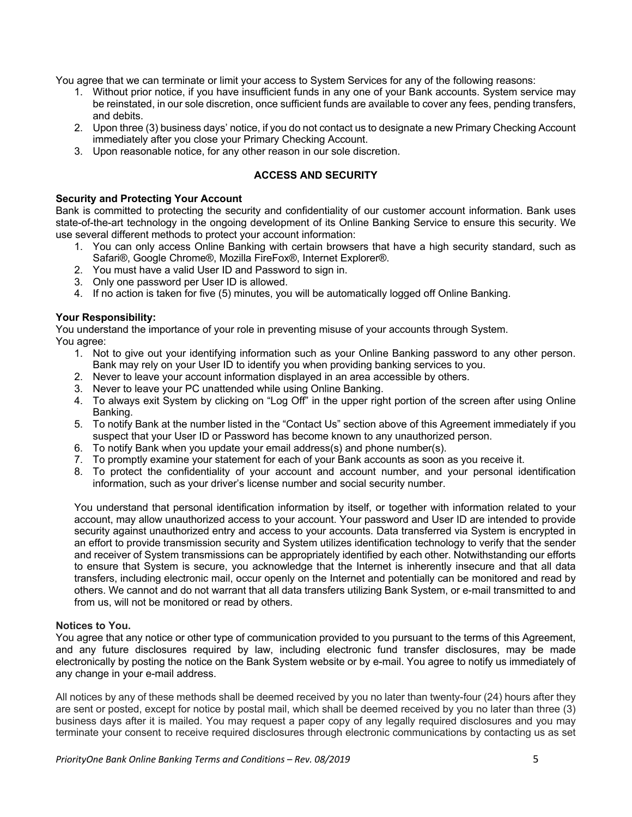You agree that we can terminate or limit your access to System Services for any of the following reasons:

- 1. Without prior notice, if you have insufficient funds in any one of your Bank accounts. System service may be reinstated, in our sole discretion, once sufficient funds are available to cover any fees, pending transfers, and debits.
- 2. Upon three (3) business days' notice, if you do not contact us to designate a new Primary Checking Account immediately after you close your Primary Checking Account.
- 3. Upon reasonable notice, for any other reason in our sole discretion.

### **ACCESS AND SECURITY**

### **Security and Protecting Your Account**

Bank is committed to protecting the security and confidentiality of our customer account information. Bank uses state-of-the-art technology in the ongoing development of its Online Banking Service to ensure this security. We use several different methods to protect your account information:

- 1. You can only access Online Banking with certain browsers that have a high security standard, such as Safari®, Google Chrome®, Mozilla FireFox®, Internet Explorer®.
- 2. You must have a valid User ID and Password to sign in.
- 3. Only one password per User ID is allowed.
- 4. If no action is taken for five (5) minutes, you will be automatically logged off Online Banking.

### **Your Responsibility:**

You understand the importance of your role in preventing misuse of your accounts through System. You agree:

- 1. Not to give out your identifying information such as your Online Banking password to any other person. Bank may rely on your User ID to identify you when providing banking services to you.
- 2. Never to leave your account information displayed in an area accessible by others.
- 3. Never to leave your PC unattended while using Online Banking.
- 4. To always exit System by clicking on "Log Off" in the upper right portion of the screen after using Online Banking.
- 5. To notify Bank at the number listed in the "Contact Us" section above of this Agreement immediately if you suspect that your User ID or Password has become known to any unauthorized person.
- 6. To notify Bank when you update your email address(s) and phone number(s).
- 7. To promptly examine your statement for each of your Bank accounts as soon as you receive it.
- 8. To protect the confidentiality of your account and account number, and your personal identification information, such as your driver's license number and social security number.

You understand that personal identification information by itself, or together with information related to your account, may allow unauthorized access to your account. Your password and User ID are intended to provide security against unauthorized entry and access to your accounts. Data transferred via System is encrypted in an effort to provide transmission security and System utilizes identification technology to verify that the sender and receiver of System transmissions can be appropriately identified by each other. Notwithstanding our efforts to ensure that System is secure, you acknowledge that the Internet is inherently insecure and that all data transfers, including electronic mail, occur openly on the Internet and potentially can be monitored and read by others. We cannot and do not warrant that all data transfers utilizing Bank System, or e-mail transmitted to and from us, will not be monitored or read by others.

#### **Notices to You.**

You agree that any notice or other type of communication provided to you pursuant to the terms of this Agreement, and any future disclosures required by law, including electronic fund transfer disclosures, may be made electronically by posting the notice on the Bank System website or by e-mail. You agree to notify us immediately of any change in your e-mail address.

All notices by any of these methods shall be deemed received by you no later than twenty-four (24) hours after they are sent or posted, except for notice by postal mail, which shall be deemed received by you no later than three (3) business days after it is mailed. You may request a paper copy of any legally required disclosures and you may terminate your consent to receive required disclosures through electronic communications by contacting us as set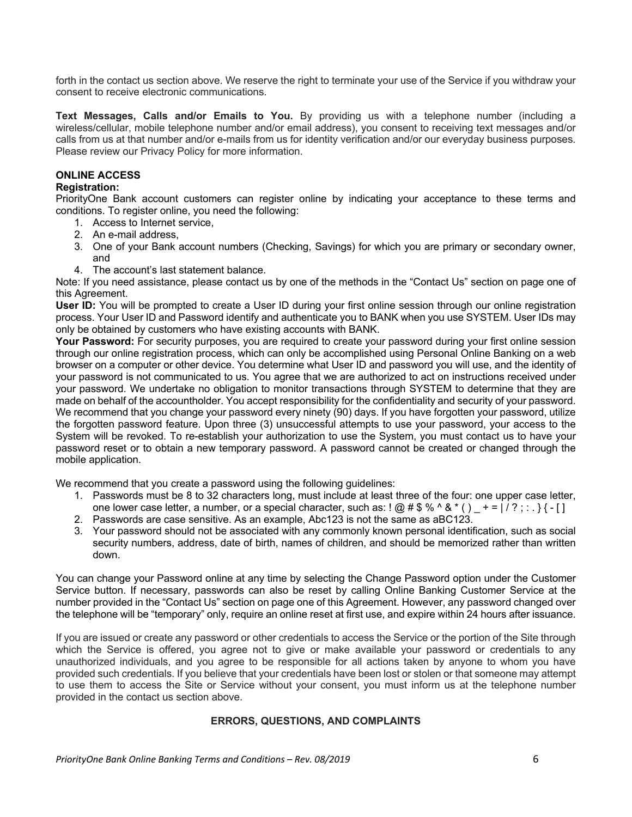forth in the contact us section above. We reserve the right to terminate your use of the Service if you withdraw your consent to receive electronic communications.

**Text Messages, Calls and/or Emails to You.** By providing us with a telephone number (including a wireless/cellular, mobile telephone number and/or email address), you consent to receiving text messages and/or calls from us at that number and/or e-mails from us for identity verification and/or our everyday business purposes. Please review our Privacy Policy for more information.

# **ONLINE ACCESS**

# **Registration:**

PriorityOne Bank account customers can register online by indicating your acceptance to these terms and conditions. To register online, you need the following:

- 1. Access to Internet service,
- 2. An e-mail address,
- 3. One of your Bank account numbers (Checking, Savings) for which you are primary or secondary owner, and
- 4. The account's last statement balance.

Note: If you need assistance, please contact us by one of the methods in the "Contact Us" section on page one of this Agreement.

**User ID:** You will be prompted to create a User ID during your first online session through our online registration process. Your User ID and Password identify and authenticate you to BANK when you use SYSTEM. User IDs may only be obtained by customers who have existing accounts with BANK.

**Your Password:** For security purposes, you are required to create your password during your first online session through our online registration process, which can only be accomplished using Personal Online Banking on a web browser on a computer or other device. You determine what User ID and password you will use, and the identity of your password is not communicated to us. You agree that we are authorized to act on instructions received under your password. We undertake no obligation to monitor transactions through SYSTEM to determine that they are made on behalf of the accountholder. You accept responsibility for the confidentiality and security of your password. We recommend that you change your password every ninety (90) days. If you have forgotten your password, utilize the forgotten password feature. Upon three (3) unsuccessful attempts to use your password, your access to the System will be revoked. To re-establish your authorization to use the System, you must contact us to have your password reset or to obtain a new temporary password. A password cannot be created or changed through the mobile application.

We recommend that you create a password using the following guidelines:

- 1. Passwords must be 8 to 32 characters long, must include at least three of the four: one upper case letter, one lower case letter, a number, or a special character, such as:  $\left[ \varpi \# \$ \% \wedge \$ * (\cdot) \right] + \frac{1}{2} : \cdot \} \{- \cdot \}$
- 2. Passwords are case sensitive. As an example, Abc123 is not the same as aBC123.
- 3. Your password should not be associated with any commonly known personal identification, such as social security numbers, address, date of birth, names of children, and should be memorized rather than written down.

You can change your Password online at any time by selecting the Change Password option under the Customer Service button. If necessary, passwords can also be reset by calling Online Banking Customer Service at the number provided in the "Contact Us" section on page one of this Agreement. However, any password changed over the telephone will be "temporary" only, require an online reset at first use, and expire within 24 hours after issuance.

If you are issued or create any password or other credentials to access the Service or the portion of the Site through which the Service is offered, you agree not to give or make available your password or credentials to any unauthorized individuals, and you agree to be responsible for all actions taken by anyone to whom you have provided such credentials. If you believe that your credentials have been lost or stolen or that someone may attempt to use them to access the Site or Service without your consent, you must inform us at the telephone number provided in the contact us section above.

# **ERRORS, QUESTIONS, AND COMPLAINTS**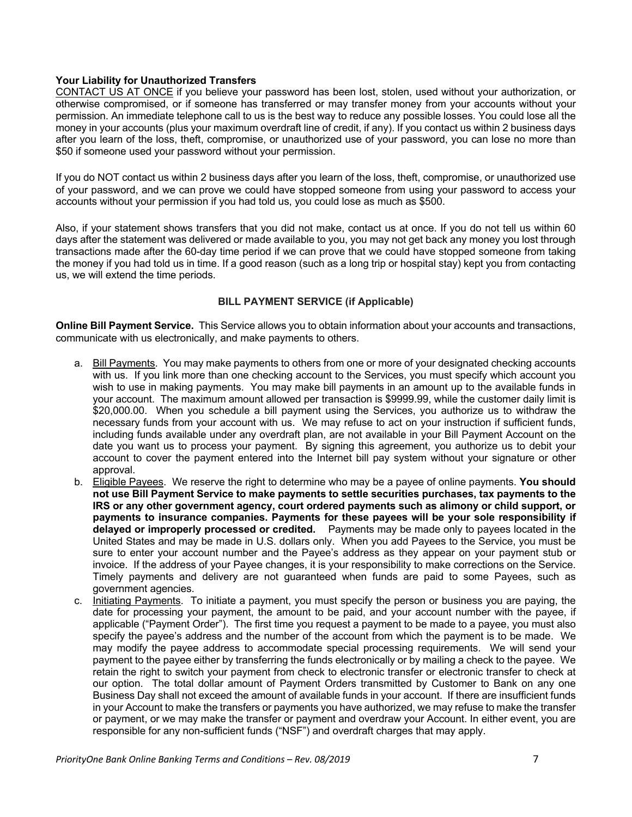### **Your Liability for Unauthorized Transfers**

CONTACT US AT ONCE if you believe your password has been lost, stolen, used without your authorization, or otherwise compromised, or if someone has transferred or may transfer money from your accounts without your permission. An immediate telephone call to us is the best way to reduce any possible losses. You could lose all the money in your accounts (plus your maximum overdraft line of credit, if any). If you contact us within 2 business days after you learn of the loss, theft, compromise, or unauthorized use of your password, you can lose no more than \$50 if someone used your password without your permission.

If you do NOT contact us within 2 business days after you learn of the loss, theft, compromise, or unauthorized use of your password, and we can prove we could have stopped someone from using your password to access your accounts without your permission if you had told us, you could lose as much as \$500.

Also, if your statement shows transfers that you did not make, contact us at once. If you do not tell us within 60 days after the statement was delivered or made available to you, you may not get back any money you lost through transactions made after the 60-day time period if we can prove that we could have stopped someone from taking the money if you had told us in time. If a good reason (such as a long trip or hospital stay) kept you from contacting us, we will extend the time periods.

# **BILL PAYMENT SERVICE (if Applicable)**

**Online Bill Payment Service.** This Service allows you to obtain information about your accounts and transactions, communicate with us electronically, and make payments to others.

- a. Bill Payments. You may make payments to others from one or more of your designated checking accounts with us. If you link more than one checking account to the Services, you must specify which account you wish to use in making payments. You may make bill payments in an amount up to the available funds in your account. The maximum amount allowed per transaction is \$9999.99, while the customer daily limit is \$20,000.00. When you schedule a bill payment using the Services, you authorize us to withdraw the necessary funds from your account with us. We may refuse to act on your instruction if sufficient funds, including funds available under any overdraft plan, are not available in your Bill Payment Account on the date you want us to process your payment. By signing this agreement, you authorize us to debit your account to cover the payment entered into the Internet bill pay system without your signature or other approval.
- b. Eligible Payees. We reserve the right to determine who may be a payee of online payments. **You should not use Bill Payment Service to make payments to settle securities purchases, tax payments to the IRS or any other government agency, court ordered payments such as alimony or child support, or payments to insurance companies. Payments for these payees will be your sole responsibility if delayed or improperly processed or credited.** Payments may be made only to payees located in the United States and may be made in U.S. dollars only. When you add Payees to the Service, you must be sure to enter your account number and the Payee's address as they appear on your payment stub or invoice. If the address of your Payee changes, it is your responsibility to make corrections on the Service. Timely payments and delivery are not guaranteed when funds are paid to some Payees, such as government agencies.
- c. Initiating Payments. To initiate a payment, you must specify the person or business you are paying, the date for processing your payment, the amount to be paid, and your account number with the payee, if applicable ("Payment Order"). The first time you request a payment to be made to a payee, you must also specify the payee's address and the number of the account from which the payment is to be made. We may modify the payee address to accommodate special processing requirements. We will send your payment to the payee either by transferring the funds electronically or by mailing a check to the payee. We retain the right to switch your payment from check to electronic transfer or electronic transfer to check at our option. The total dollar amount of Payment Orders transmitted by Customer to Bank on any one Business Day shall not exceed the amount of available funds in your account. If there are insufficient funds in your Account to make the transfers or payments you have authorized, we may refuse to make the transfer or payment, or we may make the transfer or payment and overdraw your Account. In either event, you are responsible for any non-sufficient funds ("NSF") and overdraft charges that may apply.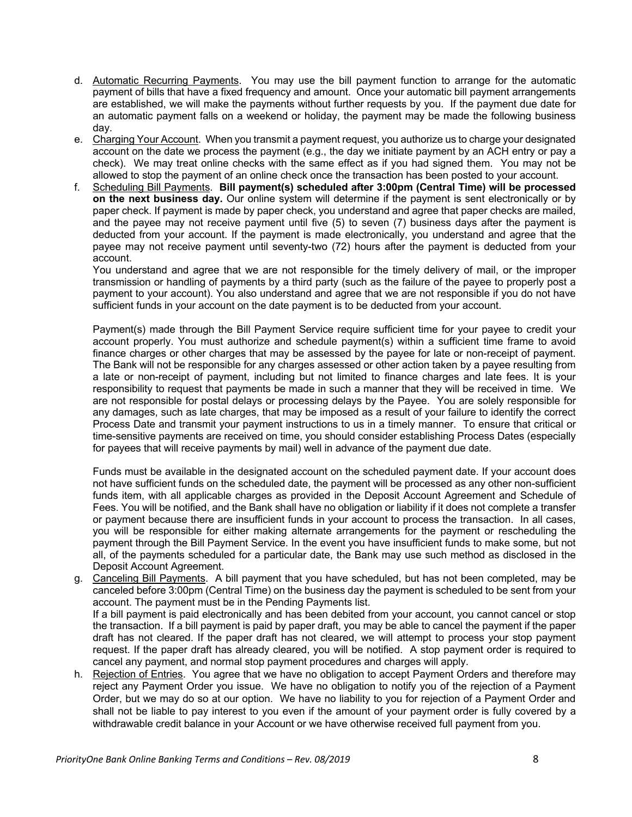- d. Automatic Recurring Payments. You may use the bill payment function to arrange for the automatic payment of bills that have a fixed frequency and amount. Once your automatic bill payment arrangements are established, we will make the payments without further requests by you. If the payment due date for an automatic payment falls on a weekend or holiday, the payment may be made the following business day.
- e. Charging Your Account. When you transmit a payment request, you authorize us to charge your designated account on the date we process the payment (e.g., the day we initiate payment by an ACH entry or pay a check). We may treat online checks with the same effect as if you had signed them. You may not be allowed to stop the payment of an online check once the transaction has been posted to your account.
- f. Scheduling Bill Payments. **Bill payment(s) scheduled after 3:00pm (Central Time) will be processed on the next business day.** Our online system will determine if the payment is sent electronically or by paper check. If payment is made by paper check, you understand and agree that paper checks are mailed, and the payee may not receive payment until five (5) to seven (7) business days after the payment is deducted from your account. If the payment is made electronically, you understand and agree that the payee may not receive payment until seventy-two (72) hours after the payment is deducted from your account.

You understand and agree that we are not responsible for the timely delivery of mail, or the improper transmission or handling of payments by a third party (such as the failure of the payee to properly post a payment to your account). You also understand and agree that we are not responsible if you do not have sufficient funds in your account on the date payment is to be deducted from your account.

Payment(s) made through the Bill Payment Service require sufficient time for your payee to credit your account properly. You must authorize and schedule payment(s) within a sufficient time frame to avoid finance charges or other charges that may be assessed by the payee for late or non-receipt of payment. The Bank will not be responsible for any charges assessed or other action taken by a payee resulting from a late or non-receipt of payment, including but not limited to finance charges and late fees. It is your responsibility to request that payments be made in such a manner that they will be received in time. We are not responsible for postal delays or processing delays by the Payee. You are solely responsible for any damages, such as late charges, that may be imposed as a result of your failure to identify the correct Process Date and transmit your payment instructions to us in a timely manner.To ensure that critical or time-sensitive payments are received on time, you should consider establishing Process Dates (especially for payees that will receive payments by mail) well in advance of the payment due date.

Funds must be available in the designated account on the scheduled payment date. If your account does not have sufficient funds on the scheduled date, the payment will be processed as any other non-sufficient funds item, with all applicable charges as provided in the Deposit Account Agreement and Schedule of Fees. You will be notified, and the Bank shall have no obligation or liability if it does not complete a transfer or payment because there are insufficient funds in your account to process the transaction. In all cases, you will be responsible for either making alternate arrangements for the payment or rescheduling the payment through the Bill Payment Service. In the event you have insufficient funds to make some, but not all, of the payments scheduled for a particular date, the Bank may use such method as disclosed in the Deposit Account Agreement.

- g. Canceling Bill Payments. A bill payment that you have scheduled, but has not been completed, may be canceled before 3:00pm (Central Time) on the business day the payment is scheduled to be sent from your account. The payment must be in the Pending Payments list. If a bill payment is paid electronically and has been debited from your account, you cannot cancel or stop the transaction. If a bill payment is paid by paper draft, you may be able to cancel the payment if the paper draft has not cleared. If the paper draft has not cleared, we will attempt to process your stop payment request. If the paper draft has already cleared, you will be notified. A stop payment order is required to cancel any payment, and normal stop payment procedures and charges will apply.
- h. Rejection of Entries. You agree that we have no obligation to accept Payment Orders and therefore may reject any Payment Order you issue. We have no obligation to notify you of the rejection of a Payment Order, but we may do so at our option. We have no liability to you for rejection of a Payment Order and shall not be liable to pay interest to you even if the amount of your payment order is fully covered by a withdrawable credit balance in your Account or we have otherwise received full payment from you.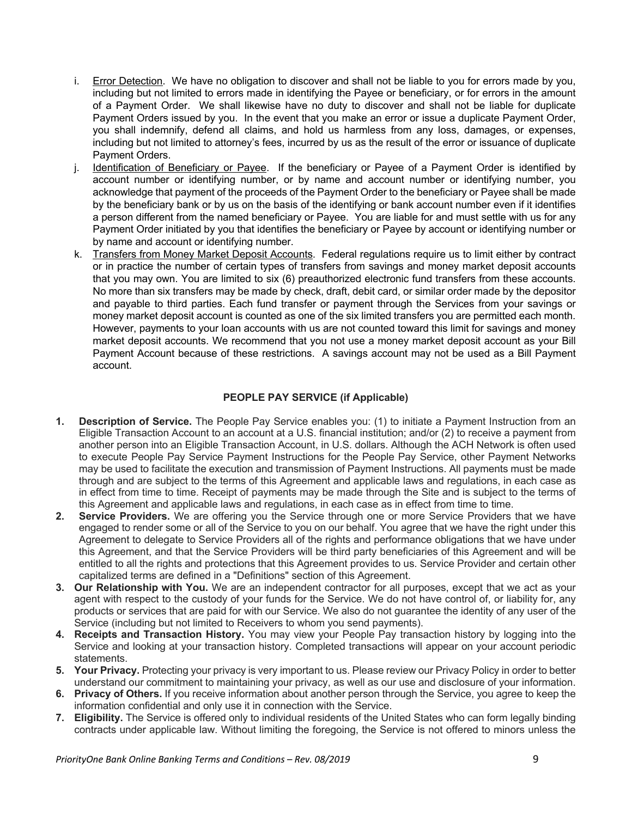- i. Error Detection. We have no obligation to discover and shall not be liable to you for errors made by you, including but not limited to errors made in identifying the Payee or beneficiary, or for errors in the amount of a Payment Order. We shall likewise have no duty to discover and shall not be liable for duplicate Payment Orders issued by you. In the event that you make an error or issue a duplicate Payment Order, you shall indemnify, defend all claims, and hold us harmless from any loss, damages, or expenses, including but not limited to attorney's fees, incurred by us as the result of the error or issuance of duplicate Payment Orders.
- j. Identification of Beneficiary or Payee. If the beneficiary or Payee of a Payment Order is identified by account number or identifying number, or by name and account number or identifying number, you acknowledge that payment of the proceeds of the Payment Order to the beneficiary or Payee shall be made by the beneficiary bank or by us on the basis of the identifying or bank account number even if it identifies a person different from the named beneficiary or Payee. You are liable for and must settle with us for any Payment Order initiated by you that identifies the beneficiary or Payee by account or identifying number or by name and account or identifying number.
- k. Transfers from Money Market Deposit Accounts. Federal regulations require us to limit either by contract or in practice the number of certain types of transfers from savings and money market deposit accounts that you may own. You are limited to six (6) preauthorized electronic fund transfers from these accounts. No more than six transfers may be made by check, draft, debit card, or similar order made by the depositor and payable to third parties. Each fund transfer or payment through the Services from your savings or money market deposit account is counted as one of the six limited transfers you are permitted each month. However, payments to your loan accounts with us are not counted toward this limit for savings and money market deposit accounts. We recommend that you not use a money market deposit account as your Bill Payment Account because of these restrictions. A savings account may not be used as a Bill Payment account.

# **PEOPLE PAY SERVICE (if Applicable)**

- **1. Description of Service.** The People Pay Service enables you: (1) to initiate a Payment Instruction from an Eligible Transaction Account to an account at a U.S. financial institution; and/or (2) to receive a payment from another person into an Eligible Transaction Account, in U.S. dollars. Although the ACH Network is often used to execute People Pay Service Payment Instructions for the People Pay Service, other Payment Networks may be used to facilitate the execution and transmission of Payment Instructions. All payments must be made through and are subject to the terms of this Agreement and applicable laws and regulations, in each case as in effect from time to time. Receipt of payments may be made through the Site and is subject to the terms of this Agreement and applicable laws and regulations, in each case as in effect from time to time.
- **2. Service Providers.** We are offering you the Service through one or more Service Providers that we have engaged to render some or all of the Service to you on our behalf. You agree that we have the right under this Agreement to delegate to Service Providers all of the rights and performance obligations that we have under this Agreement, and that the Service Providers will be third party beneficiaries of this Agreement and will be entitled to all the rights and protections that this Agreement provides to us. Service Provider and certain other capitalized terms are defined in a "Definitions" section of this Agreement.
- **3. Our Relationship with You.** We are an independent contractor for all purposes, except that we act as your agent with respect to the custody of your funds for the Service. We do not have control of, or liability for, any products or services that are paid for with our Service. We also do not guarantee the identity of any user of the Service (including but not limited to Receivers to whom you send payments).
- **4. Receipts and Transaction History.** You may view your People Pay transaction history by logging into the Service and looking at your transaction history. Completed transactions will appear on your account periodic statements.
- **5. Your Privacy.** Protecting your privacy is very important to us. Please review our Privacy Policy in order to better understand our commitment to maintaining your privacy, as well as our use and disclosure of your information.
- **6. Privacy of Others.** If you receive information about another person through the Service, you agree to keep the information confidential and only use it in connection with the Service.
- **7. Eligibility.** The Service is offered only to individual residents of the United States who can form legally binding contracts under applicable law. Without limiting the foregoing, the Service is not offered to minors unless the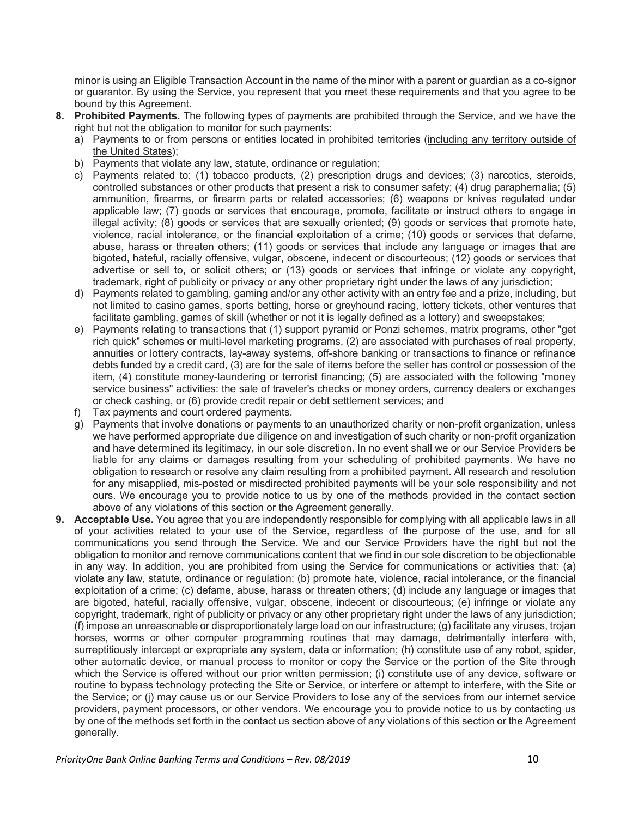minor is using an Eligible Transaction Account in the name of the minor with a parent or guardian as a co-signor or guarantor. By using the Service, you represent that you meet these requirements and that you agree to be bound by this Agreement.

- **8. Prohibited Payments.** The following types of payments are prohibited through the Service, and we have the right but not the obligation to monitor for such payments:
	- a) Payments to or from persons or entities located in prohibited territories (including any territory outside of the United States);
	- b) Payments that violate any law, statute, ordinance or regulation;
	- c) Payments related to: (1) tobacco products, (2) prescription drugs and devices; (3) narcotics, steroids, controlled substances or other products that present a risk to consumer safety; (4) drug paraphernalia; (5) ammunition, firearms, or firearm parts or related accessories; (6) weapons or knives regulated under applicable law; (7) goods or services that encourage, promote, facilitate or instruct others to engage in illegal activity; (8) goods or services that are sexually oriented; (9) goods or services that promote hate, violence, racial intolerance, or the financial exploitation of a crime; (10) goods or services that defame, abuse, harass or threaten others; (11) goods or services that include any language or images that are bigoted, hateful, racially offensive, vulgar, obscene, indecent or discourteous; (12) goods or services that advertise or sell to, or solicit others; or (13) goods or services that infringe or violate any copyright, trademark, right of publicity or privacy or any other proprietary right under the laws of any jurisdiction;
	- d) Payments related to gambling, gaming and/or any other activity with an entry fee and a prize, including, but not limited to casino games, sports betting, horse or greyhound racing, lottery tickets, other ventures that facilitate gambling, games of skill (whether or not it is legally defined as a lottery) and sweepstakes;
	- e) Payments relating to transactions that (1) support pyramid or Ponzi schemes, matrix programs, other "get rich quick" schemes or multi-level marketing programs, (2) are associated with purchases of real property, annuities or lottery contracts, lay-away systems, off-shore banking or transactions to finance or refinance debts funded by a credit card, (3) are for the sale of items before the seller has control or possession of the item, (4) constitute money-laundering or terrorist financing; (5) are associated with the following "money service business" activities: the sale of traveler's checks or money orders, currency dealers or exchanges or check cashing, or (6) provide credit repair or debt settlement services; and
	- f) Tax payments and court ordered payments.
	- g) Payments that involve donations or payments to an unauthorized charity or non-profit organization, unless we have performed appropriate due diligence on and investigation of such charity or non-profit organization and have determined its legitimacy, in our sole discretion. In no event shall we or our Service Providers be liable for any claims or damages resulting from your scheduling of prohibited payments. We have no obligation to research or resolve any claim resulting from a prohibited payment. All research and resolution for any misapplied, mis-posted or misdirected prohibited payments will be your sole responsibility and not ours. We encourage you to provide notice to us by one of the methods provided in the contact section above of any violations of this section or the Agreement generally.
- **9. Acceptable Use.** You agree that you are independently responsible for complying with all applicable laws in all of your activities related to your use of the Service, regardless of the purpose of the use, and for all communications you send through the Service. We and our Service Providers have the right but not the obligation to monitor and remove communications content that we find in our sole discretion to be objectionable in any way. In addition, you are prohibited from using the Service for communications or activities that: (a) violate any law, statute, ordinance or regulation; (b) promote hate, violence, racial intolerance, or the financial exploitation of a crime; (c) defame, abuse, harass or threaten others; (d) include any language or images that are bigoted, hateful, racially offensive, vulgar, obscene, indecent or discourteous; (e) infringe or violate any copyright, trademark, right of publicity or privacy or any other proprietary right under the laws of any jurisdiction; (f) impose an unreasonable or disproportionately large load on our infrastructure; (g) facilitate any viruses, trojan horses, worms or other computer programming routines that may damage, detrimentally interfere with, surreptitiously intercept or expropriate any system, data or information; (h) constitute use of any robot, spider, other automatic device, or manual process to monitor or copy the Service or the portion of the Site through which the Service is offered without our prior written permission; (i) constitute use of any device, software or routine to bypass technology protecting the Site or Service, or interfere or attempt to interfere, with the Site or the Service; or (j) may cause us or our Service Providers to lose any of the services from our internet service providers, payment processors, or other vendors. We encourage you to provide notice to us by contacting us by one of the methods set forth in the contact us section above of any violations of this section or the Agreement generally.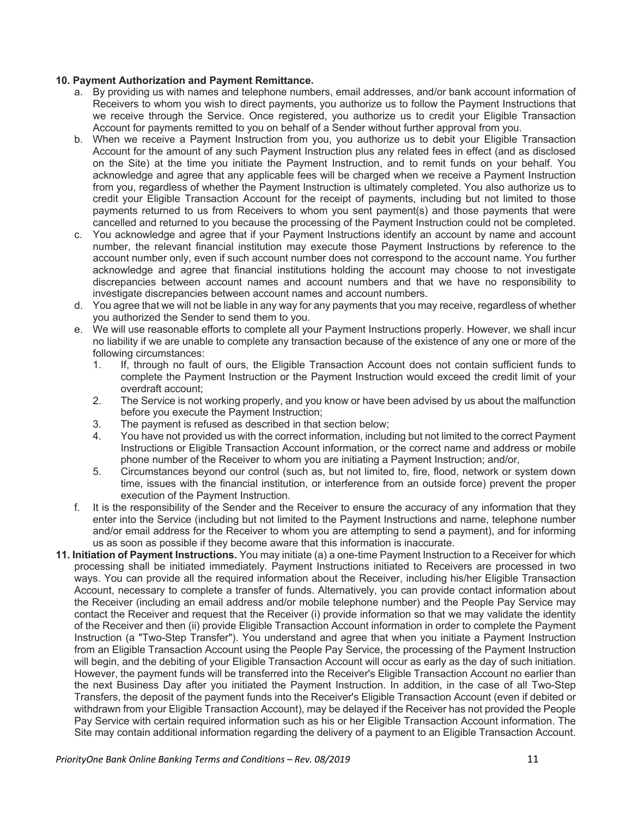### **10. Payment Authorization and Payment Remittance.**

- a. By providing us with names and telephone numbers, email addresses, and/or bank account information of Receivers to whom you wish to direct payments, you authorize us to follow the Payment Instructions that we receive through the Service. Once registered, you authorize us to credit your Eligible Transaction Account for payments remitted to you on behalf of a Sender without further approval from you.
- b. When we receive a Payment Instruction from you, you authorize us to debit your Eligible Transaction Account for the amount of any such Payment Instruction plus any related fees in effect (and as disclosed on the Site) at the time you initiate the Payment Instruction, and to remit funds on your behalf. You acknowledge and agree that any applicable fees will be charged when we receive a Payment Instruction from you, regardless of whether the Payment Instruction is ultimately completed. You also authorize us to credit your Eligible Transaction Account for the receipt of payments, including but not limited to those payments returned to us from Receivers to whom you sent payment(s) and those payments that were cancelled and returned to you because the processing of the Payment Instruction could not be completed.
- c. You acknowledge and agree that if your Payment Instructions identify an account by name and account number, the relevant financial institution may execute those Payment Instructions by reference to the account number only, even if such account number does not correspond to the account name. You further acknowledge and agree that financial institutions holding the account may choose to not investigate discrepancies between account names and account numbers and that we have no responsibility to investigate discrepancies between account names and account numbers.
- d. You agree that we will not be liable in any way for any payments that you may receive, regardless of whether you authorized the Sender to send them to you.
- e. We will use reasonable efforts to complete all your Payment Instructions properly. However, we shall incur no liability if we are unable to complete any transaction because of the existence of any one or more of the following circumstances:
	- 1. If, through no fault of ours, the Eligible Transaction Account does not contain sufficient funds to complete the Payment Instruction or the Payment Instruction would exceed the credit limit of your overdraft account;
	- 2. The Service is not working properly, and you know or have been advised by us about the malfunction before you execute the Payment Instruction;
	- 3. The payment is refused as described in that section below;
	- 4. You have not provided us with the correct information, including but not limited to the correct Payment Instructions or Eligible Transaction Account information, or the correct name and address or mobile phone number of the Receiver to whom you are initiating a Payment Instruction; and/or,
	- 5. Circumstances beyond our control (such as, but not limited to, fire, flood, network or system down time, issues with the financial institution, or interference from an outside force) prevent the proper execution of the Payment Instruction.
- f. It is the responsibility of the Sender and the Receiver to ensure the accuracy of any information that they enter into the Service (including but not limited to the Payment Instructions and name, telephone number and/or email address for the Receiver to whom you are attempting to send a payment), and for informing us as soon as possible if they become aware that this information is inaccurate.
- **11. Initiation of Payment Instructions.** You may initiate (a) a one-time Payment Instruction to a Receiver for which processing shall be initiated immediately. Payment Instructions initiated to Receivers are processed in two ways. You can provide all the required information about the Receiver, including his/her Eligible Transaction Account, necessary to complete a transfer of funds. Alternatively, you can provide contact information about the Receiver (including an email address and/or mobile telephone number) and the People Pay Service may contact the Receiver and request that the Receiver (i) provide information so that we may validate the identity of the Receiver and then (ii) provide Eligible Transaction Account information in order to complete the Payment Instruction (a "Two-Step Transfer"). You understand and agree that when you initiate a Payment Instruction from an Eligible Transaction Account using the People Pay Service, the processing of the Payment Instruction will begin, and the debiting of your Eligible Transaction Account will occur as early as the day of such initiation. However, the payment funds will be transferred into the Receiver's Eligible Transaction Account no earlier than the next Business Day after you initiated the Payment Instruction. In addition, in the case of all Two-Step Transfers, the deposit of the payment funds into the Receiver's Eligible Transaction Account (even if debited or withdrawn from your Eligible Transaction Account), may be delayed if the Receiver has not provided the People Pay Service with certain required information such as his or her Eligible Transaction Account information. The Site may contain additional information regarding the delivery of a payment to an Eligible Transaction Account.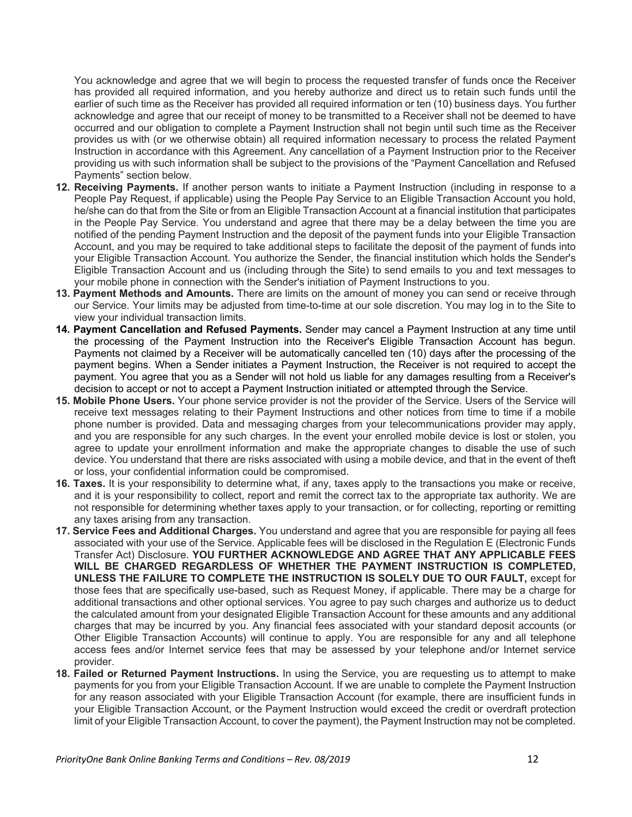You acknowledge and agree that we will begin to process the requested transfer of funds once the Receiver has provided all required information, and you hereby authorize and direct us to retain such funds until the earlier of such time as the Receiver has provided all required information or ten (10) business days. You further acknowledge and agree that our receipt of money to be transmitted to a Receiver shall not be deemed to have occurred and our obligation to complete a Payment Instruction shall not begin until such time as the Receiver provides us with (or we otherwise obtain) all required information necessary to process the related Payment Instruction in accordance with this Agreement. Any cancellation of a Payment Instruction prior to the Receiver providing us with such information shall be subject to the provisions of the "Payment Cancellation and Refused Payments" section below.

- **12. Receiving Payments.** If another person wants to initiate a Payment Instruction (including in response to a People Pay Request, if applicable) using the People Pay Service to an Eligible Transaction Account you hold, he/she can do that from the Site or from an Eligible Transaction Account at a financial institution that participates in the People Pay Service. You understand and agree that there may be a delay between the time you are notified of the pending Payment Instruction and the deposit of the payment funds into your Eligible Transaction Account, and you may be required to take additional steps to facilitate the deposit of the payment of funds into your Eligible Transaction Account. You authorize the Sender, the financial institution which holds the Sender's Eligible Transaction Account and us (including through the Site) to send emails to you and text messages to your mobile phone in connection with the Sender's initiation of Payment Instructions to you.
- **13. Payment Methods and Amounts.** There are limits on the amount of money you can send or receive through our Service. Your limits may be adjusted from time-to-time at our sole discretion. You may log in to the Site to view your individual transaction limits.
- **14. Payment Cancellation and Refused Payments.** Sender may cancel a Payment Instruction at any time until the processing of the Payment Instruction into the Receiver's Eligible Transaction Account has begun. Payments not claimed by a Receiver will be automatically cancelled ten (10) days after the processing of the payment begins. When a Sender initiates a Payment Instruction, the Receiver is not required to accept the payment. You agree that you as a Sender will not hold us liable for any damages resulting from a Receiver's decision to accept or not to accept a Payment Instruction initiated or attempted through the Service.
- **15. Mobile Phone Users.** Your phone service provider is not the provider of the Service. Users of the Service will receive text messages relating to their Payment Instructions and other notices from time to time if a mobile phone number is provided. Data and messaging charges from your telecommunications provider may apply, and you are responsible for any such charges. In the event your enrolled mobile device is lost or stolen, you agree to update your enrollment information and make the appropriate changes to disable the use of such device. You understand that there are risks associated with using a mobile device, and that in the event of theft or loss, your confidential information could be compromised.
- **16. Taxes.** It is your responsibility to determine what, if any, taxes apply to the transactions you make or receive, and it is your responsibility to collect, report and remit the correct tax to the appropriate tax authority. We are not responsible for determining whether taxes apply to your transaction, or for collecting, reporting or remitting any taxes arising from any transaction.
- **17. Service Fees and Additional Charges.** You understand and agree that you are responsible for paying all fees associated with your use of the Service. Applicable fees will be disclosed in the Regulation E (Electronic Funds Transfer Act) Disclosure. **YOU FURTHER ACKNOWLEDGE AND AGREE THAT ANY APPLICABLE FEES WILL BE CHARGED REGARDLESS OF WHETHER THE PAYMENT INSTRUCTION IS COMPLETED, UNLESS THE FAILURE TO COMPLETE THE INSTRUCTION IS SOLELY DUE TO OUR FAULT,** except for those fees that are specifically use-based, such as Request Money, if applicable. There may be a charge for additional transactions and other optional services. You agree to pay such charges and authorize us to deduct the calculated amount from your designated Eligible Transaction Account for these amounts and any additional charges that may be incurred by you. Any financial fees associated with your standard deposit accounts (or Other Eligible Transaction Accounts) will continue to apply. You are responsible for any and all telephone access fees and/or Internet service fees that may be assessed by your telephone and/or Internet service provider.
- **18. Failed or Returned Payment Instructions.** In using the Service, you are requesting us to attempt to make payments for you from your Eligible Transaction Account. If we are unable to complete the Payment Instruction for any reason associated with your Eligible Transaction Account (for example, there are insufficient funds in your Eligible Transaction Account, or the Payment Instruction would exceed the credit or overdraft protection limit of your Eligible Transaction Account, to cover the payment), the Payment Instruction may not be completed.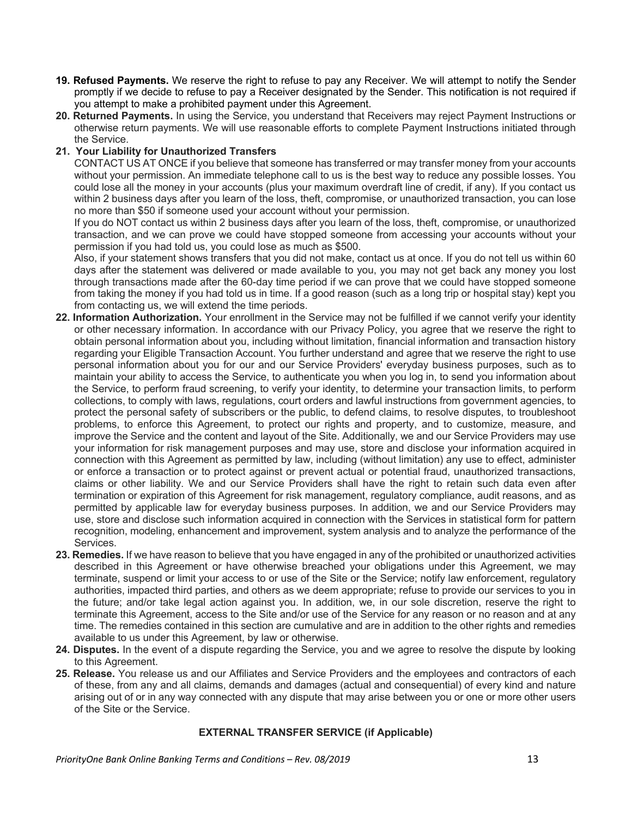- **19. Refused Payments.** We reserve the right to refuse to pay any Receiver. We will attempt to notify the Sender promptly if we decide to refuse to pay a Receiver designated by the Sender. This notification is not required if you attempt to make a prohibited payment under this Agreement.
- **20. Returned Payments.** In using the Service, you understand that Receivers may reject Payment Instructions or otherwise return payments. We will use reasonable efforts to complete Payment Instructions initiated through the Service.

# **21. Your Liability for Unauthorized Transfers**

CONTACT US AT ONCE if you believe that someone has transferred or may transfer money from your accounts without your permission. An immediate telephone call to us is the best way to reduce any possible losses. You could lose all the money in your accounts (plus your maximum overdraft line of credit, if any). If you contact us within 2 business days after you learn of the loss, theft, compromise, or unauthorized transaction, you can lose no more than \$50 if someone used your account without your permission.

If you do NOT contact us within 2 business days after you learn of the loss, theft, compromise, or unauthorized transaction, and we can prove we could have stopped someone from accessing your accounts without your permission if you had told us, you could lose as much as \$500.

Also, if your statement shows transfers that you did not make, contact us at once. If you do not tell us within 60 days after the statement was delivered or made available to you, you may not get back any money you lost through transactions made after the 60-day time period if we can prove that we could have stopped someone from taking the money if you had told us in time. If a good reason (such as a long trip or hospital stay) kept you from contacting us, we will extend the time periods.

- **22. Information Authorization.** Your enrollment in the Service may not be fulfilled if we cannot verify your identity or other necessary information. In accordance with our Privacy Policy, you agree that we reserve the right to obtain personal information about you, including without limitation, financial information and transaction history regarding your Eligible Transaction Account. You further understand and agree that we reserve the right to use personal information about you for our and our Service Providers' everyday business purposes, such as to maintain your ability to access the Service, to authenticate you when you log in, to send you information about the Service, to perform fraud screening, to verify your identity, to determine your transaction limits, to perform collections, to comply with laws, regulations, court orders and lawful instructions from government agencies, to protect the personal safety of subscribers or the public, to defend claims, to resolve disputes, to troubleshoot problems, to enforce this Agreement, to protect our rights and property, and to customize, measure, and improve the Service and the content and layout of the Site. Additionally, we and our Service Providers may use your information for risk management purposes and may use, store and disclose your information acquired in connection with this Agreement as permitted by law, including (without limitation) any use to effect, administer or enforce a transaction or to protect against or prevent actual or potential fraud, unauthorized transactions, claims or other liability. We and our Service Providers shall have the right to retain such data even after termination or expiration of this Agreement for risk management, regulatory compliance, audit reasons, and as permitted by applicable law for everyday business purposes. In addition, we and our Service Providers may use, store and disclose such information acquired in connection with the Services in statistical form for pattern recognition, modeling, enhancement and improvement, system analysis and to analyze the performance of the Services.
- **23. Remedies.** If we have reason to believe that you have engaged in any of the prohibited or unauthorized activities described in this Agreement or have otherwise breached your obligations under this Agreement, we may terminate, suspend or limit your access to or use of the Site or the Service; notify law enforcement, regulatory authorities, impacted third parties, and others as we deem appropriate; refuse to provide our services to you in the future; and/or take legal action against you. In addition, we, in our sole discretion, reserve the right to terminate this Agreement, access to the Site and/or use of the Service for any reason or no reason and at any time. The remedies contained in this section are cumulative and are in addition to the other rights and remedies available to us under this Agreement, by law or otherwise.
- **24. Disputes.** In the event of a dispute regarding the Service, you and we agree to resolve the dispute by looking to this Agreement.
- **25. Release.** You release us and our Affiliates and Service Providers and the employees and contractors of each of these, from any and all claims, demands and damages (actual and consequential) of every kind and nature arising out of or in any way connected with any dispute that may arise between you or one or more other users of the Site or the Service.

# **EXTERNAL TRANSFER SERVICE (if Applicable)**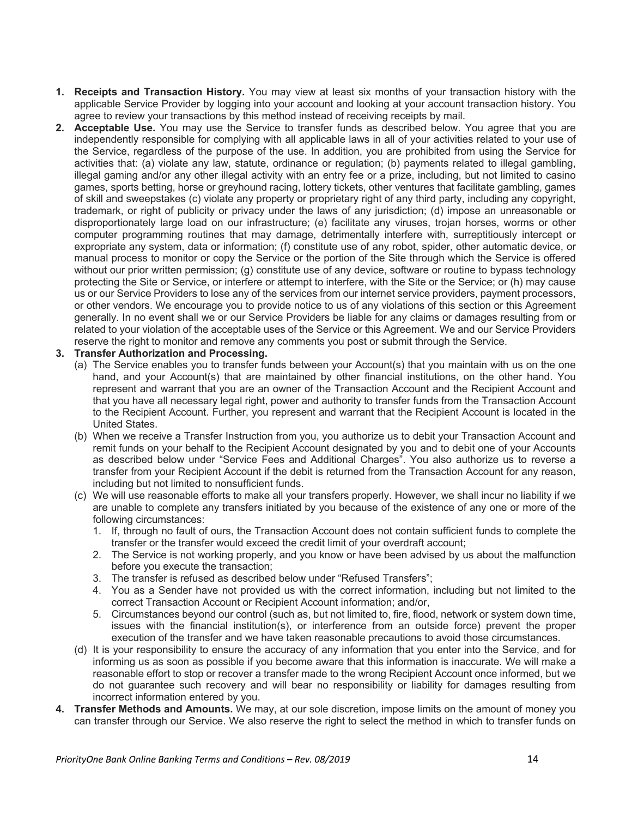- **1. Receipts and Transaction History.** You may view at least six months of your transaction history with the applicable Service Provider by logging into your account and looking at your account transaction history. You agree to review your transactions by this method instead of receiving receipts by mail.
- **2. Acceptable Use.** You may use the Service to transfer funds as described below. You agree that you are independently responsible for complying with all applicable laws in all of your activities related to your use of the Service, regardless of the purpose of the use. In addition, you are prohibited from using the Service for activities that: (a) violate any law, statute, ordinance or regulation; (b) payments related to illegal gambling, illegal gaming and/or any other illegal activity with an entry fee or a prize, including, but not limited to casino games, sports betting, horse or greyhound racing, lottery tickets, other ventures that facilitate gambling, games of skill and sweepstakes (c) violate any property or proprietary right of any third party, including any copyright, trademark, or right of publicity or privacy under the laws of any jurisdiction; (d) impose an unreasonable or disproportionately large load on our infrastructure; (e) facilitate any viruses, trojan horses, worms or other computer programming routines that may damage, detrimentally interfere with, surreptitiously intercept or expropriate any system, data or information; (f) constitute use of any robot, spider, other automatic device, or manual process to monitor or copy the Service or the portion of the Site through which the Service is offered without our prior written permission; (g) constitute use of any device, software or routine to bypass technology protecting the Site or Service, or interfere or attempt to interfere, with the Site or the Service; or (h) may cause us or our Service Providers to lose any of the services from our internet service providers, payment processors, or other vendors. We encourage you to provide notice to us of any violations of this section or this Agreement generally. In no event shall we or our Service Providers be liable for any claims or damages resulting from or related to your violation of the acceptable uses of the Service or this Agreement. We and our Service Providers reserve the right to monitor and remove any comments you post or submit through the Service.

#### **3. Transfer Authorization and Processing.**

- (a) The Service enables you to transfer funds between your Account(s) that you maintain with us on the one hand, and your Account(s) that are maintained by other financial institutions, on the other hand. You represent and warrant that you are an owner of the Transaction Account and the Recipient Account and that you have all necessary legal right, power and authority to transfer funds from the Transaction Account to the Recipient Account. Further, you represent and warrant that the Recipient Account is located in the United States.
- (b) When we receive a Transfer Instruction from you, you authorize us to debit your Transaction Account and remit funds on your behalf to the Recipient Account designated by you and to debit one of your Accounts as described below under "Service Fees and Additional Charges". You also authorize us to reverse a transfer from your Recipient Account if the debit is returned from the Transaction Account for any reason, including but not limited to nonsufficient funds.
- (c) We will use reasonable efforts to make all your transfers properly. However, we shall incur no liability if we are unable to complete any transfers initiated by you because of the existence of any one or more of the following circumstances:
	- 1. If, through no fault of ours, the Transaction Account does not contain sufficient funds to complete the transfer or the transfer would exceed the credit limit of your overdraft account;
	- 2. The Service is not working properly, and you know or have been advised by us about the malfunction before you execute the transaction;
	- 3. The transfer is refused as described below under "Refused Transfers";
	- 4. You as a Sender have not provided us with the correct information, including but not limited to the correct Transaction Account or Recipient Account information; and/or,
	- 5. Circumstances beyond our control (such as, but not limited to, fire, flood, network or system down time, issues with the financial institution(s), or interference from an outside force) prevent the proper execution of the transfer and we have taken reasonable precautions to avoid those circumstances.
- (d) It is your responsibility to ensure the accuracy of any information that you enter into the Service, and for informing us as soon as possible if you become aware that this information is inaccurate. We will make a reasonable effort to stop or recover a transfer made to the wrong Recipient Account once informed, but we do not guarantee such recovery and will bear no responsibility or liability for damages resulting from incorrect information entered by you.
- **4. Transfer Methods and Amounts.** We may, at our sole discretion, impose limits on the amount of money you can transfer through our Service. We also reserve the right to select the method in which to transfer funds on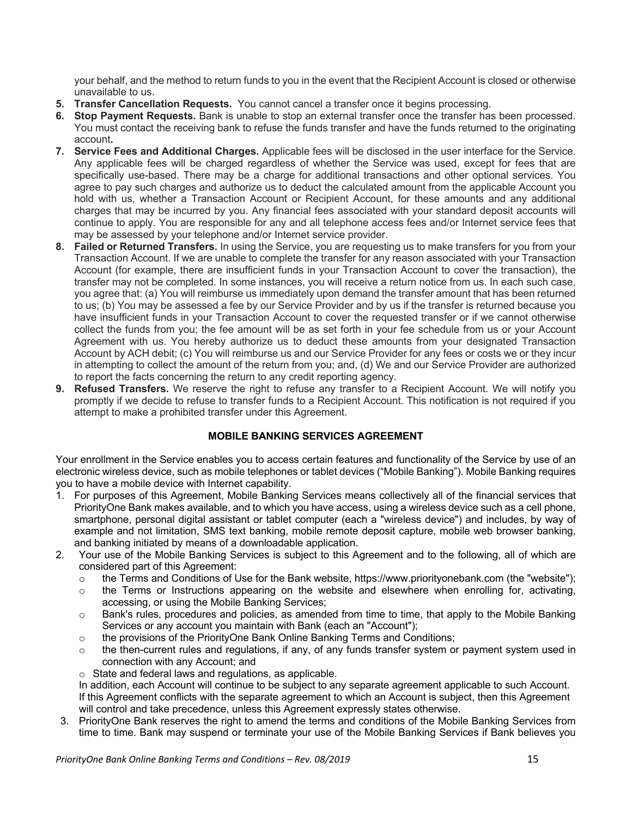your behalf, and the method to return funds to you in the event that the Recipient Account is closed or otherwise unavailable to us.

- **5. Transfer Cancellation Requests.** You cannot cancel a transfer once it begins processing.
- **6. Stop Payment Requests.** Bank is unable to stop an external transfer once the transfer has been processed. You must contact the receiving bank to refuse the funds transfer and have the funds returned to the originating account**.**
- **7. Service Fees and Additional Charges.** Applicable fees will be disclosed in the user interface for the Service. Any applicable fees will be charged regardless of whether the Service was used, except for fees that are specifically use-based. There may be a charge for additional transactions and other optional services. You agree to pay such charges and authorize us to deduct the calculated amount from the applicable Account you hold with us, whether a Transaction Account or Recipient Account, for these amounts and any additional charges that may be incurred by you. Any financial fees associated with your standard deposit accounts will continue to apply. You are responsible for any and all telephone access fees and/or Internet service fees that may be assessed by your telephone and/or Internet service provider.
- **8. Failed or Returned Transfers.** In using the Service, you are requesting us to make transfers for you from your Transaction Account. If we are unable to complete the transfer for any reason associated with your Transaction Account (for example, there are insufficient funds in your Transaction Account to cover the transaction), the transfer may not be completed. In some instances, you will receive a return notice from us. In each such case, you agree that: (a) You will reimburse us immediately upon demand the transfer amount that has been returned to us; (b) You may be assessed a fee by our Service Provider and by us if the transfer is returned because you have insufficient funds in your Transaction Account to cover the requested transfer or if we cannot otherwise collect the funds from you; the fee amount will be as set forth in your fee schedule from us or your Account Agreement with us. You hereby authorize us to deduct these amounts from your designated Transaction Account by ACH debit; (c) You will reimburse us and our Service Provider for any fees or costs we or they incur in attempting to collect the amount of the return from you; and, (d) We and our Service Provider are authorized to report the facts concerning the return to any credit reporting agency.
- **9. Refused Transfers.** We reserve the right to refuse any transfer to a Recipient Account. We will notify you promptly if we decide to refuse to transfer funds to a Recipient Account. This notification is not required if you attempt to make a prohibited transfer under this Agreement.

# **MOBILE BANKING SERVICES AGREEMENT**

Your enrollment in the Service enables you to access certain features and functionality of the Service by use of an electronic wireless device, such as mobile telephones or tablet devices ("Mobile Banking"). Mobile Banking requires you to have a mobile device with Internet capability.

- 1. For purposes of this Agreement, Mobile Banking Services means collectively all of the financial services that PriorityOne Bank makes available, and to which you have access, using a wireless device such as a cell phone, smartphone, personal digital assistant or tablet computer (each a "wireless device") and includes, by way of example and not limitation, SMS text banking, mobile remote deposit capture, mobile web browser banking, and banking initiated by means of a downloadable application.
- 2. Your use of the Mobile Banking Services is subject to this Agreement and to the following, all of which are considered part of this Agreement:
	- o the Terms and Conditions of Use for the Bank website, https://www.priorityonebank.com (the "website");
	- $\circ$  the Terms or Instructions appearing on the website and elsewhere when enrolling for, activating, accessing, or using the Mobile Banking Services;
	- o Bank's rules, procedures and policies, as amended from time to time, that apply to the Mobile Banking Services or any account you maintain with Bank (each an "Account");
	- o the provisions of the PriorityOne Bank Online Banking Terms and Conditions;
	- o the then-current rules and regulations, if any, of any funds transfer system or payment system used in connection with any Account; and
	- o State and federal laws and regulations, as applicable.

In addition, each Account will continue to be subject to any separate agreement applicable to such Account. If this Agreement conflicts with the separate agreement to which an Account is subject, then this Agreement will control and take precedence, unless this Agreement expressly states otherwise.

3. PriorityOne Bank reserves the right to amend the terms and conditions of the Mobile Banking Services from time to time. Bank may suspend or terminate your use of the Mobile Banking Services if Bank believes you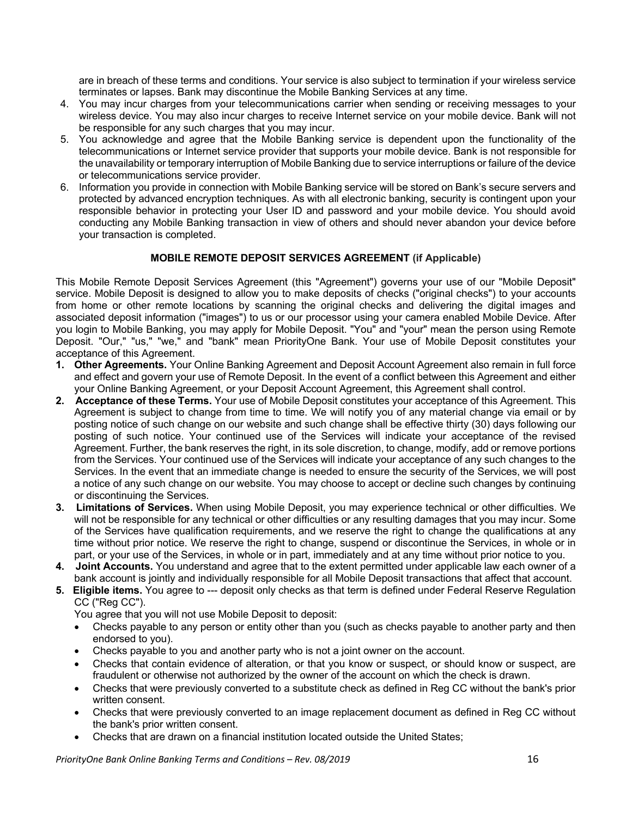are in breach of these terms and conditions. Your service is also subject to termination if your wireless service terminates or lapses. Bank may discontinue the Mobile Banking Services at any time.

- 4. You may incur charges from your telecommunications carrier when sending or receiving messages to your wireless device. You may also incur charges to receive Internet service on your mobile device. Bank will not be responsible for any such charges that you may incur.
- 5. You acknowledge and agree that the Mobile Banking service is dependent upon the functionality of the telecommunications or Internet service provider that supports your mobile device. Bank is not responsible for the unavailability or temporary interruption of Mobile Banking due to service interruptions or failure of the device or telecommunications service provider.
- 6. Information you provide in connection with Mobile Banking service will be stored on Bank's secure servers and protected by advanced encryption techniques. As with all electronic banking, security is contingent upon your responsible behavior in protecting your User ID and password and your mobile device. You should avoid conducting any Mobile Banking transaction in view of others and should never abandon your device before your transaction is completed.

# **MOBILE REMOTE DEPOSIT SERVICES AGREEMENT (if Applicable)**

This Mobile Remote Deposit Services Agreement (this "Agreement") governs your use of our "Mobile Deposit" service. Mobile Deposit is designed to allow you to make deposits of checks ("original checks") to your accounts from home or other remote locations by scanning the original checks and delivering the digital images and associated deposit information ("images") to us or our processor using your camera enabled Mobile Device. After you login to Mobile Banking, you may apply for Mobile Deposit. "You" and "your" mean the person using Remote Deposit. "Our," "us," "we," and "bank" mean PriorityOne Bank. Your use of Mobile Deposit constitutes your acceptance of this Agreement.

- **1. Other Agreements.** Your Online Banking Agreement and Deposit Account Agreement also remain in full force and effect and govern your use of Remote Deposit. In the event of a conflict between this Agreement and either your Online Banking Agreement, or your Deposit Account Agreement, this Agreement shall control.
- **2. Acceptance of these Terms.** Your use of Mobile Deposit constitutes your acceptance of this Agreement. This Agreement is subject to change from time to time. We will notify you of any material change via email or by posting notice of such change on our website and such change shall be effective thirty (30) days following our posting of such notice. Your continued use of the Services will indicate your acceptance of the revised Agreement. Further, the bank reserves the right, in its sole discretion, to change, modify, add or remove portions from the Services. Your continued use of the Services will indicate your acceptance of any such changes to the Services. In the event that an immediate change is needed to ensure the security of the Services, we will post a notice of any such change on our website. You may choose to accept or decline such changes by continuing or discontinuing the Services.
- **3. Limitations of Services.** When using Mobile Deposit, you may experience technical or other difficulties. We will not be responsible for any technical or other difficulties or any resulting damages that you may incur. Some of the Services have qualification requirements, and we reserve the right to change the qualifications at any time without prior notice. We reserve the right to change, suspend or discontinue the Services, in whole or in part, or your use of the Services, in whole or in part, immediately and at any time without prior notice to you.
- **4. Joint Accounts.** You understand and agree that to the extent permitted under applicable law each owner of a bank account is jointly and individually responsible for all Mobile Deposit transactions that affect that account.
- **5. Eligible items.** You agree to --- deposit only checks as that term is defined under Federal Reserve Regulation CC ("Reg CC").

You agree that you will not use Mobile Deposit to deposit:

- Checks payable to any person or entity other than you (such as checks payable to another party and then endorsed to you).
- Checks payable to you and another party who is not a joint owner on the account.
- Checks that contain evidence of alteration, or that you know or suspect, or should know or suspect, are fraudulent or otherwise not authorized by the owner of the account on which the check is drawn.
- Checks that were previously converted to a substitute check as defined in Reg CC without the bank's prior written consent.
- Checks that were previously converted to an image replacement document as defined in Reg CC without the bank's prior written consent.
- Checks that are drawn on a financial institution located outside the United States;

*PriorityOne Bank Online Banking Terms and Conditions – Rev. 08/2019* 16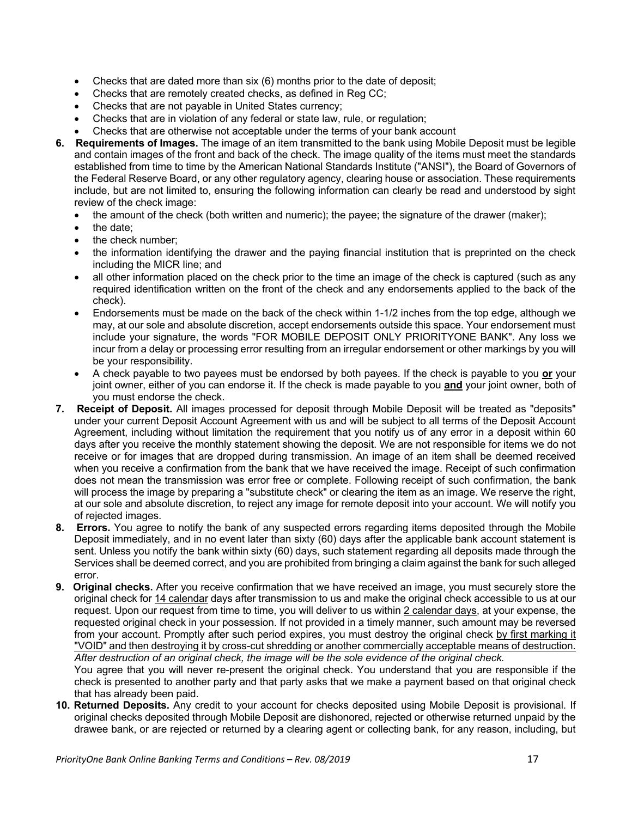- Checks that are dated more than six (6) months prior to the date of deposit;
- Checks that are remotely created checks, as defined in Reg CC;
- Checks that are not payable in United States currency;
- Checks that are in violation of any federal or state law, rule, or regulation;
- Checks that are otherwise not acceptable under the terms of your bank account
- **6. Requirements of Images.** The image of an item transmitted to the bank using Mobile Deposit must be legible and contain images of the front and back of the check. The image quality of the items must meet the standards established from time to time by the American National Standards Institute ("ANSI"), the Board of Governors of the Federal Reserve Board, or any other regulatory agency, clearing house or association. These requirements include, but are not limited to, ensuring the following information can clearly be read and understood by sight review of the check image:
	- the amount of the check (both written and numeric); the payee; the signature of the drawer (maker);
	- the date:
	- the check number:
	- the information identifying the drawer and the paying financial institution that is preprinted on the check including the MICR line; and
	- all other information placed on the check prior to the time an image of the check is captured (such as any required identification written on the front of the check and any endorsements applied to the back of the check).
	- Endorsements must be made on the back of the check within 1-1/2 inches from the top edge, although we may, at our sole and absolute discretion, accept endorsements outside this space. Your endorsement must include your signature, the words "FOR MOBILE DEPOSIT ONLY PRIORITYONE BANK". Any loss we incur from a delay or processing error resulting from an irregular endorsement or other markings by you will be your responsibility.
	- A check payable to two payees must be endorsed by both payees. If the check is payable to you **or** your joint owner, either of you can endorse it. If the check is made payable to you **and** your joint owner, both of you must endorse the check.
- **7. Receipt of Deposit.** All images processed for deposit through Mobile Deposit will be treated as "deposits" under your current Deposit Account Agreement with us and will be subject to all terms of the Deposit Account Agreement, including without limitation the requirement that you notify us of any error in a deposit within 60 days after you receive the monthly statement showing the deposit. We are not responsible for items we do not receive or for images that are dropped during transmission. An image of an item shall be deemed received when you receive a confirmation from the bank that we have received the image. Receipt of such confirmation does not mean the transmission was error free or complete. Following receipt of such confirmation, the bank will process the image by preparing a "substitute check" or clearing the item as an image. We reserve the right, at our sole and absolute discretion, to reject any image for remote deposit into your account. We will notify you of rejected images.
- **8. Errors.** You agree to notify the bank of any suspected errors regarding items deposited through the Mobile Deposit immediately, and in no event later than sixty (60) days after the applicable bank account statement is sent. Unless you notify the bank within sixty (60) days, such statement regarding all deposits made through the Services shall be deemed correct, and you are prohibited from bringing a claim against the bank for such alleged error.
- **9. Original checks.** After you receive confirmation that we have received an image, you must securely store the original check for 14 calendar days after transmission to us and make the original check accessible to us at our request. Upon our request from time to time, you will deliver to us within 2 calendar days, at your expense, the requested original check in your possession. If not provided in a timely manner, such amount may be reversed from your account. Promptly after such period expires, you must destroy the original check by first marking it "VOID" and then destroying it by cross-cut shredding or another commercially acceptable means of destruction. *After destruction of an original check, the image will be the sole evidence of the original check.*

You agree that you will never re-present the original check. You understand that you are responsible if the check is presented to another party and that party asks that we make a payment based on that original check that has already been paid.

**10. Returned Deposits.** Any credit to your account for checks deposited using Mobile Deposit is provisional. If original checks deposited through Mobile Deposit are dishonored, rejected or otherwise returned unpaid by the drawee bank, or are rejected or returned by a clearing agent or collecting bank, for any reason, including, but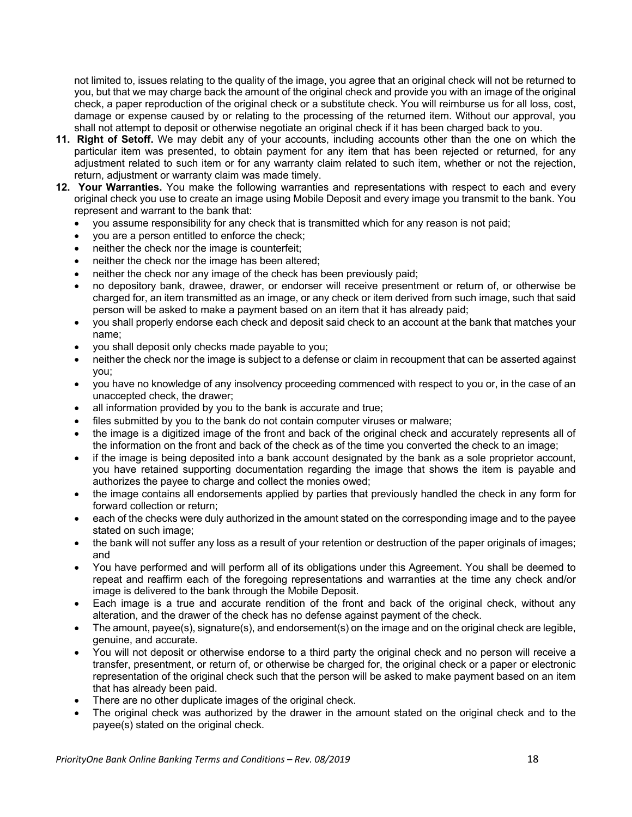not limited to, issues relating to the quality of the image, you agree that an original check will not be returned to you, but that we may charge back the amount of the original check and provide you with an image of the original check, a paper reproduction of the original check or a substitute check. You will reimburse us for all loss, cost, damage or expense caused by or relating to the processing of the returned item. Without our approval, you shall not attempt to deposit or otherwise negotiate an original check if it has been charged back to you.

- **11. Right of Setoff.** We may debit any of your accounts, including accounts other than the one on which the particular item was presented, to obtain payment for any item that has been rejected or returned, for any adjustment related to such item or for any warranty claim related to such item, whether or not the rejection, return, adjustment or warranty claim was made timely.
- **12. Your Warranties.** You make the following warranties and representations with respect to each and every original check you use to create an image using Mobile Deposit and every image you transmit to the bank. You represent and warrant to the bank that:
	- you assume responsibility for any check that is transmitted which for any reason is not paid;
	- you are a person entitled to enforce the check;
	- neither the check nor the image is counterfeit;
	- neither the check nor the image has been altered;
	- neither the check nor any image of the check has been previously paid;
	- no depository bank, drawee, drawer, or endorser will receive presentment or return of, or otherwise be charged for, an item transmitted as an image, or any check or item derived from such image, such that said person will be asked to make a payment based on an item that it has already paid;
	- you shall properly endorse each check and deposit said check to an account at the bank that matches your name;
	- you shall deposit only checks made payable to you;
	- neither the check nor the image is subject to a defense or claim in recoupment that can be asserted against you;
	- you have no knowledge of any insolvency proceeding commenced with respect to you or, in the case of an unaccepted check, the drawer;
	- all information provided by you to the bank is accurate and true;
	- files submitted by you to the bank do not contain computer viruses or malware;
	- the image is a digitized image of the front and back of the original check and accurately represents all of the information on the front and back of the check as of the time you converted the check to an image;
	- if the image is being deposited into a bank account designated by the bank as a sole proprietor account, you have retained supporting documentation regarding the image that shows the item is payable and authorizes the payee to charge and collect the monies owed;
	- the image contains all endorsements applied by parties that previously handled the check in any form for forward collection or return;
	- each of the checks were duly authorized in the amount stated on the corresponding image and to the payee stated on such image;
	- the bank will not suffer any loss as a result of your retention or destruction of the paper originals of images; and
	- You have performed and will perform all of its obligations under this Agreement. You shall be deemed to repeat and reaffirm each of the foregoing representations and warranties at the time any check and/or image is delivered to the bank through the Mobile Deposit.
	- Each image is a true and accurate rendition of the front and back of the original check, without any alteration, and the drawer of the check has no defense against payment of the check.
	- The amount, payee(s), signature(s), and endorsement(s) on the image and on the original check are legible, genuine, and accurate.
	- You will not deposit or otherwise endorse to a third party the original check and no person will receive a transfer, presentment, or return of, or otherwise be charged for, the original check or a paper or electronic representation of the original check such that the person will be asked to make payment based on an item that has already been paid.
	- There are no other duplicate images of the original check.
	- The original check was authorized by the drawer in the amount stated on the original check and to the payee(s) stated on the original check.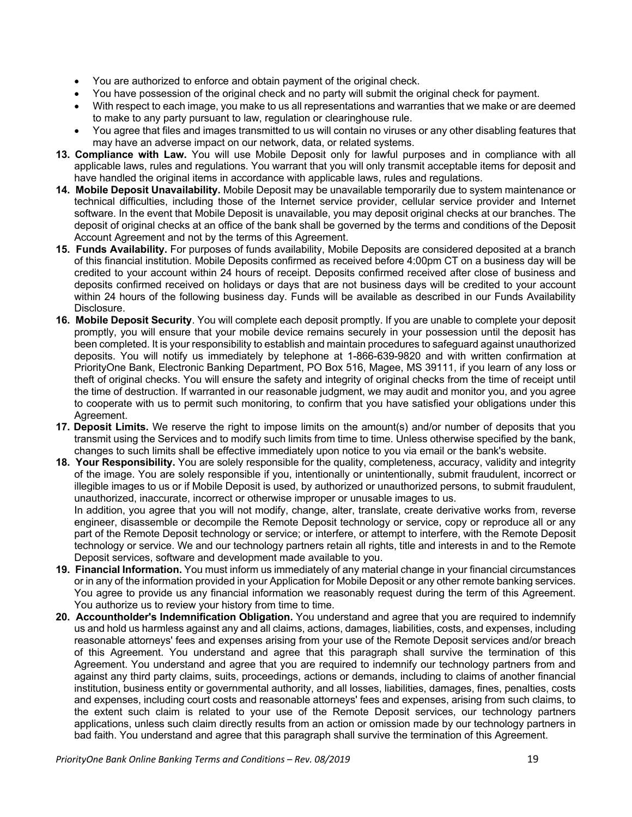- You are authorized to enforce and obtain payment of the original check.
- You have possession of the original check and no party will submit the original check for payment.
- With respect to each image, you make to us all representations and warranties that we make or are deemed to make to any party pursuant to law, regulation or clearinghouse rule.
- You agree that files and images transmitted to us will contain no viruses or any other disabling features that may have an adverse impact on our network, data, or related systems.
- **13. Compliance with Law.** You will use Mobile Deposit only for lawful purposes and in compliance with all applicable laws, rules and regulations. You warrant that you will only transmit acceptable items for deposit and have handled the original items in accordance with applicable laws, rules and regulations.
- **14. Mobile Deposit Unavailability.** Mobile Deposit may be unavailable temporarily due to system maintenance or technical difficulties, including those of the Internet service provider, cellular service provider and Internet software. In the event that Mobile Deposit is unavailable, you may deposit original checks at our branches. The deposit of original checks at an office of the bank shall be governed by the terms and conditions of the Deposit Account Agreement and not by the terms of this Agreement.
- **15. Funds Availability.** For purposes of funds availability, Mobile Deposits are considered deposited at a branch of this financial institution. Mobile Deposits confirmed as received before 4:00pm CT on a business day will be credited to your account within 24 hours of receipt. Deposits confirmed received after close of business and deposits confirmed received on holidays or days that are not business days will be credited to your account within 24 hours of the following business day. Funds will be available as described in our Funds Availability Disclosure.
- **16. Mobile Deposit Security**. You will complete each deposit promptly. If you are unable to complete your deposit promptly, you will ensure that your mobile device remains securely in your possession until the deposit has been completed. It is your responsibility to establish and maintain procedures to safeguard against unauthorized deposits. You will notify us immediately by telephone at 1-866-639-9820 and with written confirmation at PriorityOne Bank, Electronic Banking Department, PO Box 516, Magee, MS 39111, if you learn of any loss or theft of original checks. You will ensure the safety and integrity of original checks from the time of receipt until the time of destruction. If warranted in our reasonable judgment, we may audit and monitor you, and you agree to cooperate with us to permit such monitoring, to confirm that you have satisfied your obligations under this Agreement.
- **17. Deposit Limits.** We reserve the right to impose limits on the amount(s) and/or number of deposits that you transmit using the Services and to modify such limits from time to time. Unless otherwise specified by the bank, changes to such limits shall be effective immediately upon notice to you via email or the bank's website.
- **18. Your Responsibility.** You are solely responsible for the quality, completeness, accuracy, validity and integrity of the image. You are solely responsible if you, intentionally or unintentionally, submit fraudulent, incorrect or illegible images to us or if Mobile Deposit is used, by authorized or unauthorized persons, to submit fraudulent, unauthorized, inaccurate, incorrect or otherwise improper or unusable images to us.

In addition, you agree that you will not modify, change, alter, translate, create derivative works from, reverse engineer, disassemble or decompile the Remote Deposit technology or service, copy or reproduce all or any part of the Remote Deposit technology or service; or interfere, or attempt to interfere, with the Remote Deposit technology or service. We and our technology partners retain all rights, title and interests in and to the Remote Deposit services, software and development made available to you.

- **19. Financial Information.** You must inform us immediately of any material change in your financial circumstances or in any of the information provided in your Application for Mobile Deposit or any other remote banking services. You agree to provide us any financial information we reasonably request during the term of this Agreement. You authorize us to review your history from time to time.
- **20. Accountholder's Indemnification Obligation.** You understand and agree that you are required to indemnify us and hold us harmless against any and all claims, actions, damages, liabilities, costs, and expenses, including reasonable attorneys' fees and expenses arising from your use of the Remote Deposit services and/or breach of this Agreement. You understand and agree that this paragraph shall survive the termination of this Agreement. You understand and agree that you are required to indemnify our technology partners from and against any third party claims, suits, proceedings, actions or demands, including to claims of another financial institution, business entity or governmental authority, and all losses, liabilities, damages, fines, penalties, costs and expenses, including court costs and reasonable attorneys' fees and expenses, arising from such claims, to the extent such claim is related to your use of the Remote Deposit services, our technology partners applications, unless such claim directly results from an action or omission made by our technology partners in bad faith. You understand and agree that this paragraph shall survive the termination of this Agreement.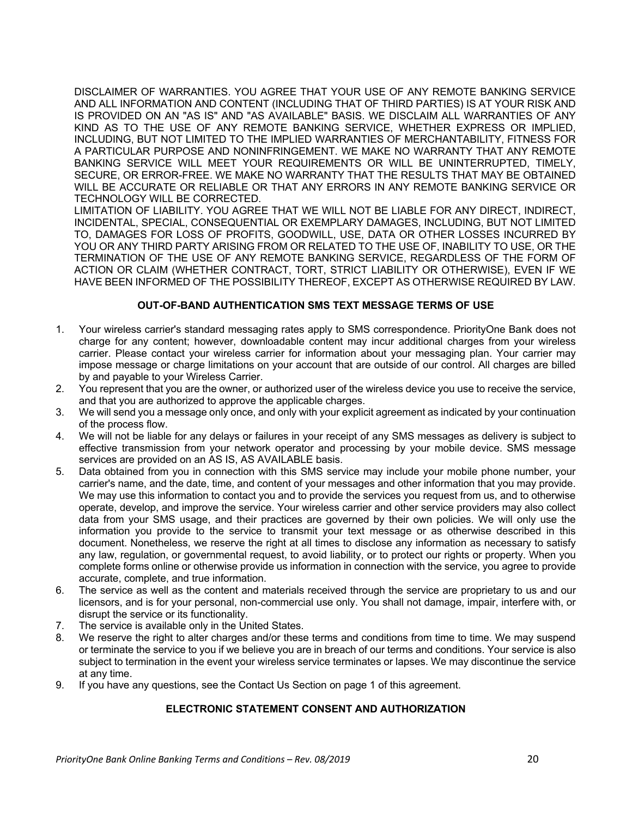DISCLAIMER OF WARRANTIES. YOU AGREE THAT YOUR USE OF ANY REMOTE BANKING SERVICE AND ALL INFORMATION AND CONTENT (INCLUDING THAT OF THIRD PARTIES) IS AT YOUR RISK AND IS PROVIDED ON AN "AS IS" AND "AS AVAILABLE" BASIS. WE DISCLAIM ALL WARRANTIES OF ANY KIND AS TO THE USE OF ANY REMOTE BANKING SERVICE, WHETHER EXPRESS OR IMPLIED, INCLUDING, BUT NOT LIMITED TO THE IMPLIED WARRANTIES OF MERCHANTABILITY, FITNESS FOR A PARTICULAR PURPOSE AND NONINFRINGEMENT. WE MAKE NO WARRANTY THAT ANY REMOTE BANKING SERVICE WILL MEET YOUR REQUIREMENTS OR WILL BE UNINTERRUPTED, TIMELY, SECURE, OR ERROR-FREE. WE MAKE NO WARRANTY THAT THE RESULTS THAT MAY BE OBTAINED WILL BE ACCURATE OR RELIABLE OR THAT ANY ERRORS IN ANY REMOTE BANKING SERVICE OR TECHNOLOGY WILL BE CORRECTED.

LIMITATION OF LIABILITY. YOU AGREE THAT WE WILL NOT BE LIABLE FOR ANY DIRECT, INDIRECT, INCIDENTAL, SPECIAL, CONSEQUENTIAL OR EXEMPLARY DAMAGES, INCLUDING, BUT NOT LIMITED TO, DAMAGES FOR LOSS OF PROFITS, GOODWILL, USE, DATA OR OTHER LOSSES INCURRED BY YOU OR ANY THIRD PARTY ARISING FROM OR RELATED TO THE USE OF, INABILITY TO USE, OR THE TERMINATION OF THE USE OF ANY REMOTE BANKING SERVICE, REGARDLESS OF THE FORM OF ACTION OR CLAIM (WHETHER CONTRACT, TORT, STRICT LIABILITY OR OTHERWISE), EVEN IF WE HAVE BEEN INFORMED OF THE POSSIBILITY THEREOF, EXCEPT AS OTHERWISE REQUIRED BY LAW.

### **OUT-OF-BAND AUTHENTICATION SMS TEXT MESSAGE TERMS OF USE**

- 1. Your wireless carrier's standard messaging rates apply to SMS correspondence. PriorityOne Bank does not charge for any content; however, downloadable content may incur additional charges from your wireless carrier. Please contact your wireless carrier for information about your messaging plan. Your carrier may impose message or charge limitations on your account that are outside of our control. All charges are billed by and payable to your Wireless Carrier.
- 2. You represent that you are the owner, or authorized user of the wireless device you use to receive the service, and that you are authorized to approve the applicable charges.
- 3. We will send you a message only once, and only with your explicit agreement as indicated by your continuation of the process flow.
- 4. We will not be liable for any delays or failures in your receipt of any SMS messages as delivery is subject to effective transmission from your network operator and processing by your mobile device. SMS message services are provided on an AS IS, AS AVAILABLE basis.
- 5. Data obtained from you in connection with this SMS service may include your mobile phone number, your carrier's name, and the date, time, and content of your messages and other information that you may provide. We may use this information to contact you and to provide the services you request from us, and to otherwise operate, develop, and improve the service. Your wireless carrier and other service providers may also collect data from your SMS usage, and their practices are governed by their own policies. We will only use the information you provide to the service to transmit your text message or as otherwise described in this document. Nonetheless, we reserve the right at all times to disclose any information as necessary to satisfy any law, regulation, or governmental request, to avoid liability, or to protect our rights or property. When you complete forms online or otherwise provide us information in connection with the service, you agree to provide accurate, complete, and true information.
- 6. The service as well as the content and materials received through the service are proprietary to us and our licensors, and is for your personal, non-commercial use only. You shall not damage, impair, interfere with, or disrupt the service or its functionality.
- 7. The service is available only in the United States.
- 8. We reserve the right to alter charges and/or these terms and conditions from time to time. We may suspend or terminate the service to you if we believe you are in breach of our terms and conditions. Your service is also subject to termination in the event your wireless service terminates or lapses. We may discontinue the service at any time.
- 9. If you have any questions, see the Contact Us Section on page 1 of this agreement.

# **ELECTRONIC STATEMENT CONSENT AND AUTHORIZATION**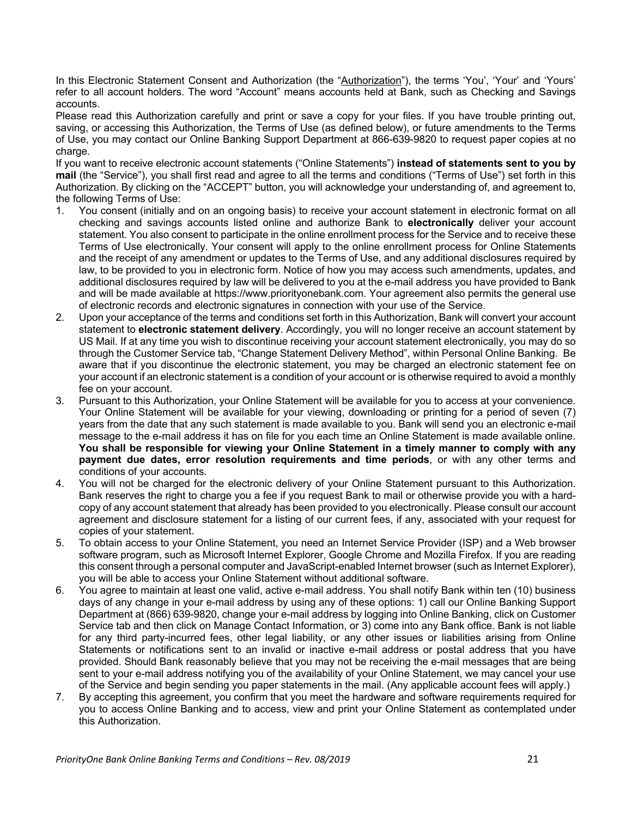In this Electronic Statement Consent and Authorization (the "Authorization"), the terms 'You', 'Your' and 'Yours' refer to all account holders. The word "Account" means accounts held at Bank, such as Checking and Savings accounts.

Please read this Authorization carefully and print or save a copy for your files. If you have trouble printing out, saving, or accessing this Authorization, the Terms of Use (as defined below), or future amendments to the Terms of Use, you may contact our Online Banking Support Department at 866-639-9820 to request paper copies at no charge.

If you want to receive electronic account statements ("Online Statements") **instead of statements sent to you by mail** (the "Service"), you shall first read and agree to all the terms and conditions ("Terms of Use") set forth in this Authorization. By clicking on the "ACCEPT" button, you will acknowledge your understanding of, and agreement to, the following Terms of Use:

- 1. You consent (initially and on an ongoing basis) to receive your account statement in electronic format on all checking and savings accounts listed online and authorize Bank to **electronically** deliver your account statement. You also consent to participate in the online enrollment process for the Service and to receive these Terms of Use electronically. Your consent will apply to the online enrollment process for Online Statements and the receipt of any amendment or updates to the Terms of Use, and any additional disclosures required by law, to be provided to you in electronic form. Notice of how you may access such amendments, updates, and additional disclosures required by law will be delivered to you at the e-mail address you have provided to Bank and will be made available at https://www.priorityonebank.com. Your agreement also permits the general use of electronic records and electronic signatures in connection with your use of the Service.
- 2. Upon your acceptance of the terms and conditions set forth in this Authorization, Bank will convert your account statement to **electronic statement delivery**. Accordingly, you will no longer receive an account statement by US Mail. If at any time you wish to discontinue receiving your account statement electronically, you may do so through the Customer Service tab, "Change Statement Delivery Method", within Personal Online Banking. Be aware that if you discontinue the electronic statement, you may be charged an electronic statement fee on your account if an electronic statement is a condition of your account or is otherwise required to avoid a monthly fee on your account.
- 3. Pursuant to this Authorization, your Online Statement will be available for you to access at your convenience. Your Online Statement will be available for your viewing, downloading or printing for a period of seven (7) years from the date that any such statement is made available to you. Bank will send you an electronic e-mail message to the e-mail address it has on file for you each time an Online Statement is made available online. **You shall be responsible for viewing your Online Statement in a timely manner to comply with any payment due dates, error resolution requirements and time periods**, or with any other terms and conditions of your accounts.
- 4. You will not be charged for the electronic delivery of your Online Statement pursuant to this Authorization. Bank reserves the right to charge you a fee if you request Bank to mail or otherwise provide you with a hardcopy of any account statement that already has been provided to you electronically. Please consult our account agreement and disclosure statement for a listing of our current fees, if any, associated with your request for copies of your statement.
- 5. To obtain access to your Online Statement, you need an Internet Service Provider (ISP) and a Web browser software program, such as Microsoft Internet Explorer, Google Chrome and Mozilla Firefox. If you are reading this consent through a personal computer and JavaScript-enabled Internet browser (such as Internet Explorer), you will be able to access your Online Statement without additional software.
- 6. You agree to maintain at least one valid, active e-mail address. You shall notify Bank within ten (10) business days of any change in your e-mail address by using any of these options: 1) call our Online Banking Support Department at (866) 639-9820, change your e-mail address by logging into Online Banking, click on Customer Service tab and then click on Manage Contact Information, or 3) come into any Bank office. Bank is not liable for any third party-incurred fees, other legal liability, or any other issues or liabilities arising from Online Statements or notifications sent to an invalid or inactive e-mail address or postal address that you have provided. Should Bank reasonably believe that you may not be receiving the e-mail messages that are being sent to your e-mail address notifying you of the availability of your Online Statement, we may cancel your use of the Service and begin sending you paper statements in the mail. (Any applicable account fees will apply.)
- 7. By accepting this agreement, you confirm that you meet the hardware and software requirements required for you to access Online Banking and to access, view and print your Online Statement as contemplated under this Authorization.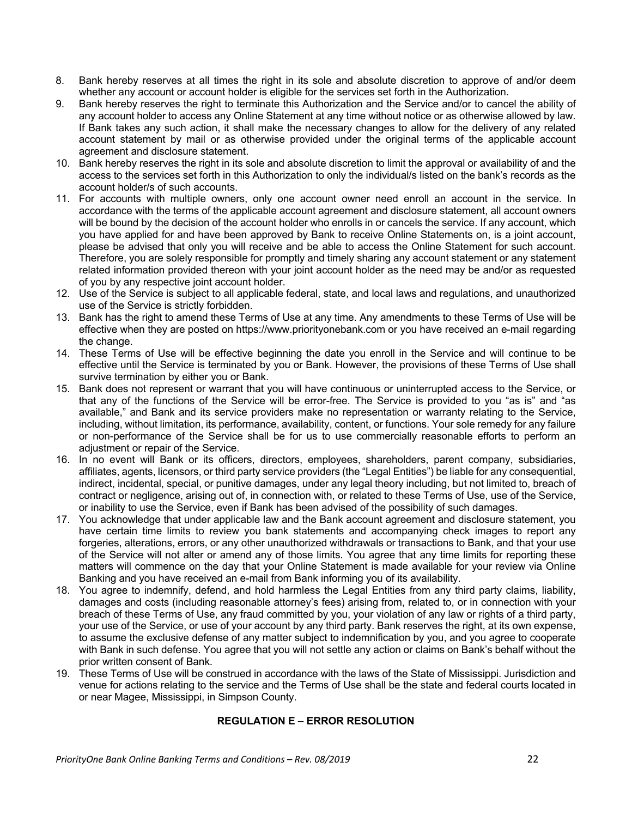- 8. Bank hereby reserves at all times the right in its sole and absolute discretion to approve of and/or deem whether any account or account holder is eligible for the services set forth in the Authorization.
- 9. Bank hereby reserves the right to terminate this Authorization and the Service and/or to cancel the ability of any account holder to access any Online Statement at any time without notice or as otherwise allowed by law. If Bank takes any such action, it shall make the necessary changes to allow for the delivery of any related account statement by mail or as otherwise provided under the original terms of the applicable account agreement and disclosure statement.
- 10. Bank hereby reserves the right in its sole and absolute discretion to limit the approval or availability of and the access to the services set forth in this Authorization to only the individual/s listed on the bank's records as the account holder/s of such accounts.
- 11. For accounts with multiple owners, only one account owner need enroll an account in the service. In accordance with the terms of the applicable account agreement and disclosure statement, all account owners will be bound by the decision of the account holder who enrolls in or cancels the service. If any account, which you have applied for and have been approved by Bank to receive Online Statements on, is a joint account, please be advised that only you will receive and be able to access the Online Statement for such account. Therefore, you are solely responsible for promptly and timely sharing any account statement or any statement related information provided thereon with your joint account holder as the need may be and/or as requested of you by any respective joint account holder.
- 12. Use of the Service is subject to all applicable federal, state, and local laws and regulations, and unauthorized use of the Service is strictly forbidden.
- 13. Bank has the right to amend these Terms of Use at any time. Any amendments to these Terms of Use will be effective when they are posted on https://www.priorityonebank.com or you have received an e-mail regarding the change.
- 14. These Terms of Use will be effective beginning the date you enroll in the Service and will continue to be effective until the Service is terminated by you or Bank. However, the provisions of these Terms of Use shall survive termination by either you or Bank.
- 15. Bank does not represent or warrant that you will have continuous or uninterrupted access to the Service, or that any of the functions of the Service will be error-free. The Service is provided to you "as is" and "as available," and Bank and its service providers make no representation or warranty relating to the Service, including, without limitation, its performance, availability, content, or functions. Your sole remedy for any failure or non-performance of the Service shall be for us to use commercially reasonable efforts to perform an adjustment or repair of the Service.
- 16. In no event will Bank or its officers, directors, employees, shareholders, parent company, subsidiaries, affiliates, agents, licensors, or third party service providers (the "Legal Entities") be liable for any consequential, indirect, incidental, special, or punitive damages, under any legal theory including, but not limited to, breach of contract or negligence, arising out of, in connection with, or related to these Terms of Use, use of the Service, or inability to use the Service, even if Bank has been advised of the possibility of such damages.
- 17. You acknowledge that under applicable law and the Bank account agreement and disclosure statement, you have certain time limits to review you bank statements and accompanying check images to report any forgeries, alterations, errors, or any other unauthorized withdrawals or transactions to Bank, and that your use of the Service will not alter or amend any of those limits. You agree that any time limits for reporting these matters will commence on the day that your Online Statement is made available for your review via Online Banking and you have received an e-mail from Bank informing you of its availability.
- 18. You agree to indemnify, defend, and hold harmless the Legal Entities from any third party claims, liability, damages and costs (including reasonable attorney's fees) arising from, related to, or in connection with your breach of these Terms of Use, any fraud committed by you, your violation of any law or rights of a third party, your use of the Service, or use of your account by any third party. Bank reserves the right, at its own expense, to assume the exclusive defense of any matter subject to indemnification by you, and you agree to cooperate with Bank in such defense. You agree that you will not settle any action or claims on Bank's behalf without the prior written consent of Bank.
- 19. These Terms of Use will be construed in accordance with the laws of the State of Mississippi. Jurisdiction and venue for actions relating to the service and the Terms of Use shall be the state and federal courts located in or near Magee, Mississippi, in Simpson County.

# **REGULATION E – ERROR RESOLUTION**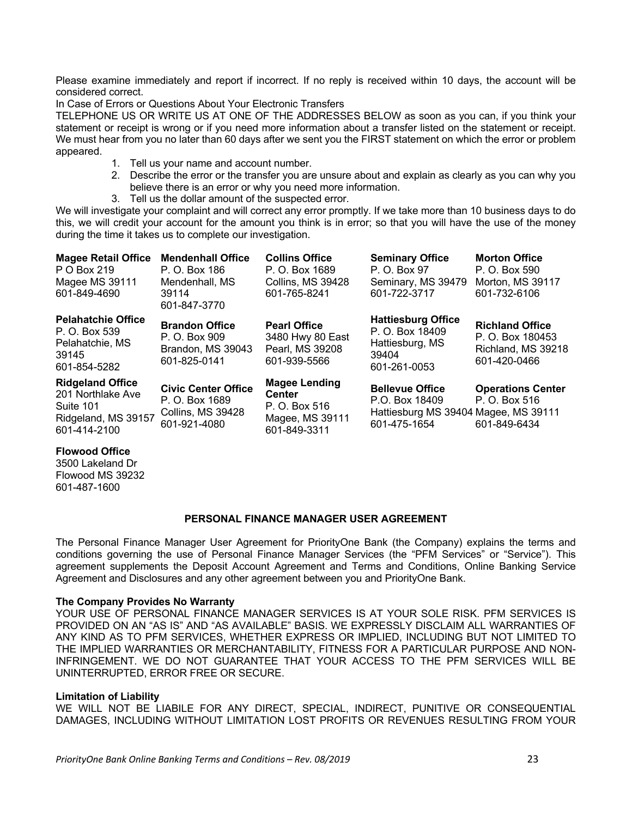Please examine immediately and report if incorrect. If no reply is received within 10 days, the account will be considered correct.

In Case of Errors or Questions About Your Electronic Transfers

TELEPHONE US OR WRITE US AT ONE OF THE ADDRESSES BELOW as soon as you can, if you think your statement or receipt is wrong or if you need more information about a transfer listed on the statement or receipt. We must hear from you no later than 60 days after we sent you the FIRST statement on which the error or problem appeared.

- 1. Tell us your name and account number.
- 2. Describe the error or the transfer you are unsure about and explain as clearly as you can why you believe there is an error or why you need more information.
- 3. Tell us the dollar amount of the suspected error.

We will investigate your complaint and will correct any error promptly. If we take more than 10 business days to do this, we will credit your account for the amount you think is in error; so that you will have the use of the money during the time it takes us to complete our investigation.

| <b>Magee Retail Office</b><br>P O Box 219<br>Magee MS 39111<br>601-849-4690                      | <b>Mendenhall Office</b><br>P. O. Box 186<br>Mendenhall, MS<br>39114<br>601-847-3770 | <b>Collins Office</b><br>P. O. Box 1689<br>Collins, MS 39428<br>601-765-8241              | <b>Seminary Office</b><br>P. O. Box 97<br>Seminary, MS 39479<br>601-722-3717                     | <b>Morton Office</b><br>P. O. Box 590<br>Morton, MS 39117<br>601-732-6106        |
|--------------------------------------------------------------------------------------------------|--------------------------------------------------------------------------------------|-------------------------------------------------------------------------------------------|--------------------------------------------------------------------------------------------------|----------------------------------------------------------------------------------|
| <b>Pelahatchie Office</b><br>P. O. Box 539<br>Pelahatchie, MS<br>39145<br>601-854-5282           | <b>Brandon Office</b><br>P. O. Box 909<br>Brandon, MS 39043<br>601-825-0141          | <b>Pearl Office</b><br>3480 Hwy 80 East<br>Pearl, MS 39208<br>601-939-5566                | <b>Hattiesburg Office</b><br>P. O. Box 18409<br>Hattiesburg, MS<br>39404<br>601-261-0053         | <b>Richland Office</b><br>P. O. Box 180453<br>Richland, MS 39218<br>601-420-0466 |
| <b>Ridgeland Office</b><br>201 Northlake Ave<br>Suite 101<br>Ridgeland, MS 39157<br>601-414-2100 | <b>Civic Center Office</b><br>P. O. Box 1689<br>Collins, MS 39428<br>601-921-4080    | <b>Magee Lending</b><br><b>Center</b><br>P. O. Box 516<br>Magee, MS 39111<br>601-849-3311 | <b>Bellevue Office</b><br>P.O. Box 18409<br>Hattiesburg MS 39404 Magee, MS 39111<br>601-475-1654 | <b>Operations Center</b><br>P. O. Box 516<br>601-849-6434                        |

#### **Flowood Office**

3500 Lakeland Dr Flowood MS 39232 601-487-1600

#### **PERSONAL FINANCE MANAGER USER AGREEMENT**

The Personal Finance Manager User Agreement for PriorityOne Bank (the Company) explains the terms and conditions governing the use of Personal Finance Manager Services (the "PFM Services" or "Service"). This agreement supplements the Deposit Account Agreement and Terms and Conditions, Online Banking Service Agreement and Disclosures and any other agreement between you and PriorityOne Bank.

#### **The Company Provides No Warranty**

YOUR USE OF PERSONAL FINANCE MANAGER SERVICES IS AT YOUR SOLE RISK. PFM SERVICES IS PROVIDED ON AN "AS IS" AND "AS AVAILABLE" BASIS. WE EXPRESSLY DISCLAIM ALL WARRANTIES OF ANY KIND AS TO PFM SERVICES, WHETHER EXPRESS OR IMPLIED, INCLUDING BUT NOT LIMITED TO THE IMPLIED WARRANTIES OR MERCHANTABILITY, FITNESS FOR A PARTICULAR PURPOSE AND NON-INFRINGEMENT. WE DO NOT GUARANTEE THAT YOUR ACCESS TO THE PFM SERVICES WILL BE UNINTERRUPTED, ERROR FREE OR SECURE.

#### **Limitation of Liability**

WE WILL NOT BE LIABILE FOR ANY DIRECT, SPECIAL, INDIRECT, PUNITIVE OR CONSEQUENTIAL DAMAGES, INCLUDING WITHOUT LIMITATION LOST PROFITS OR REVENUES RESULTING FROM YOUR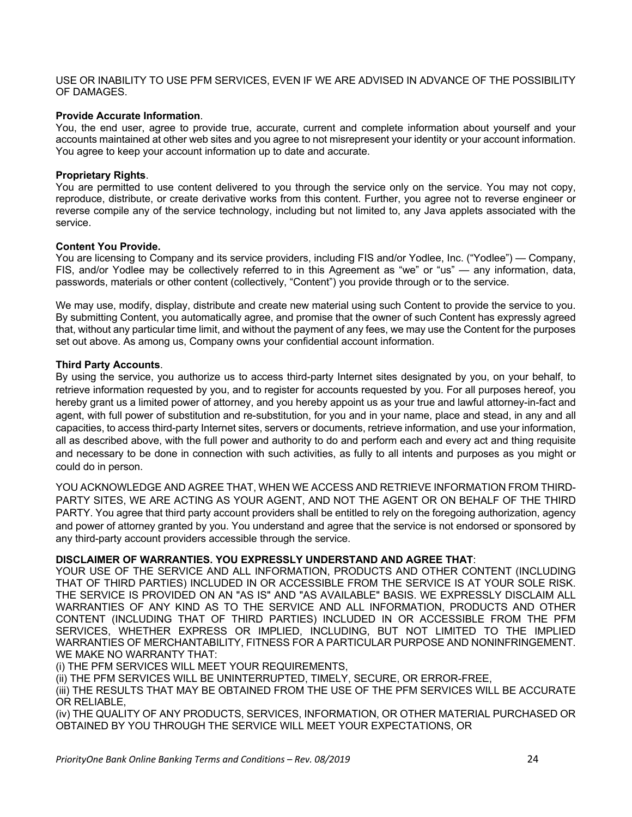### USE OR INABILITY TO USE PFM SERVICES, EVEN IF WE ARE ADVISED IN ADVANCE OF THE POSSIBILITY OF DAMAGES.

### **Provide Accurate Information**.

You, the end user, agree to provide true, accurate, current and complete information about yourself and your accounts maintained at other web sites and you agree to not misrepresent your identity or your account information. You agree to keep your account information up to date and accurate.

#### **Proprietary Rights**.

You are permitted to use content delivered to you through the service only on the service. You may not copy, reproduce, distribute, or create derivative works from this content. Further, you agree not to reverse engineer or reverse compile any of the service technology, including but not limited to, any Java applets associated with the service.

### **Content You Provide.**

You are licensing to Company and its service providers, including FIS and/or Yodlee, Inc. ("Yodlee") — Company, FIS, and/or Yodlee may be collectively referred to in this Agreement as "we" or "us" — any information, data, passwords, materials or other content (collectively, "Content") you provide through or to the service.

We may use, modify, display, distribute and create new material using such Content to provide the service to you. By submitting Content, you automatically agree, and promise that the owner of such Content has expressly agreed that, without any particular time limit, and without the payment of any fees, we may use the Content for the purposes set out above. As among us, Company owns your confidential account information.

### **Third Party Accounts**.

By using the service, you authorize us to access third-party Internet sites designated by you, on your behalf, to retrieve information requested by you, and to register for accounts requested by you. For all purposes hereof, you hereby grant us a limited power of attorney, and you hereby appoint us as your true and lawful attorney-in-fact and agent, with full power of substitution and re-substitution, for you and in your name, place and stead, in any and all capacities, to access third-party Internet sites, servers or documents, retrieve information, and use your information, all as described above, with the full power and authority to do and perform each and every act and thing requisite and necessary to be done in connection with such activities, as fully to all intents and purposes as you might or could do in person.

YOU ACKNOWLEDGE AND AGREE THAT, WHEN WE ACCESS AND RETRIEVE INFORMATION FROM THIRD-PARTY SITES, WE ARE ACTING AS YOUR AGENT, AND NOT THE AGENT OR ON BEHALF OF THE THIRD PARTY. You agree that third party account providers shall be entitled to rely on the foregoing authorization, agency and power of attorney granted by you. You understand and agree that the service is not endorsed or sponsored by any third-party account providers accessible through the service.

# **DISCLAIMER OF WARRANTIES. YOU EXPRESSLY UNDERSTAND AND AGREE THAT**:

YOUR USE OF THE SERVICE AND ALL INFORMATION, PRODUCTS AND OTHER CONTENT (INCLUDING THAT OF THIRD PARTIES) INCLUDED IN OR ACCESSIBLE FROM THE SERVICE IS AT YOUR SOLE RISK. THE SERVICE IS PROVIDED ON AN "AS IS" AND "AS AVAILABLE" BASIS. WE EXPRESSLY DISCLAIM ALL WARRANTIES OF ANY KIND AS TO THE SERVICE AND ALL INFORMATION, PRODUCTS AND OTHER CONTENT (INCLUDING THAT OF THIRD PARTIES) INCLUDED IN OR ACCESSIBLE FROM THE PFM SERVICES, WHETHER EXPRESS OR IMPLIED, INCLUDING, BUT NOT LIMITED TO THE IMPLIED WARRANTIES OF MERCHANTABILITY, FITNESS FOR A PARTICULAR PURPOSE AND NONINFRINGEMENT. WE MAKE NO WARRANTY THAT:

(i) THE PFM SERVICES WILL MEET YOUR REQUIREMENTS,

(ii) THE PFM SERVICES WILL BE UNINTERRUPTED, TIMELY, SECURE, OR ERROR-FREE,

(iii) THE RESULTS THAT MAY BE OBTAINED FROM THE USE OF THE PFM SERVICES WILL BE ACCURATE OR RELIABLE,

(iv) THE QUALITY OF ANY PRODUCTS, SERVICES, INFORMATION, OR OTHER MATERIAL PURCHASED OR OBTAINED BY YOU THROUGH THE SERVICE WILL MEET YOUR EXPECTATIONS, OR